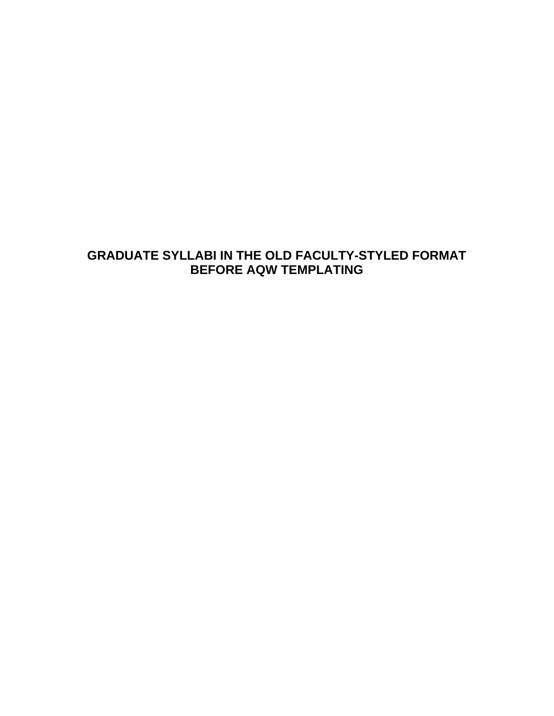# **GRADUATE SYLLABI IN THE OLD FACULTY-STYLED FORMAT BEFORE AQW TEMPLATING**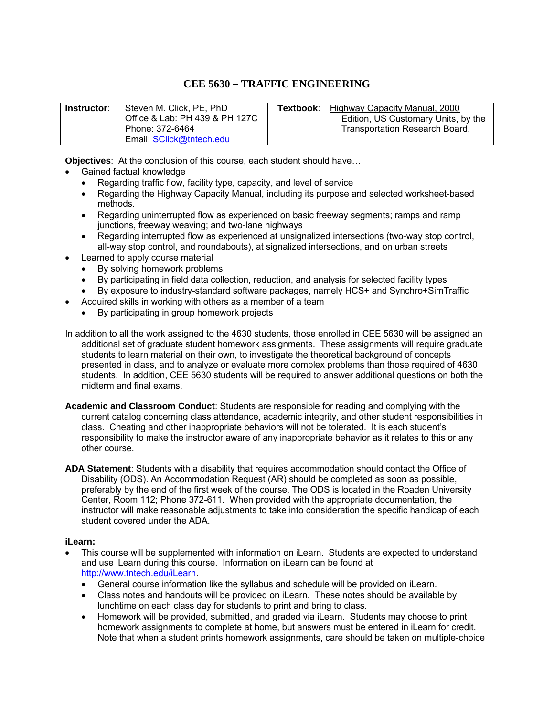## **CEE 5630 – TRAFFIC ENGINEERING**

| Instructor: | Steven M. Click, PE, PhD       | Textbook: I | Highway Capacity Manual, 2000       |
|-------------|--------------------------------|-------------|-------------------------------------|
|             | Office & Lab: PH 439 & PH 127C |             | Edition, US Customary Units, by the |
|             | Phone: 372-6464                |             | Transportation Research Board.      |
|             | Email: SClick@tntech.edu       |             |                                     |

**Objectives**: At the conclusion of this course, each student should have…

- Gained factual knowledge
	- Regarding traffic flow, facility type, capacity, and level of service
	- Regarding the Highway Capacity Manual, including its purpose and selected worksheet-based methods.
	- Regarding uninterrupted flow as experienced on basic freeway segments; ramps and ramp junctions, freeway weaving; and two-lane highways
	- Regarding interrupted flow as experienced at unsignalized intersections (two-way stop control, all-way stop control, and roundabouts), at signalized intersections, and on urban streets
- Learned to apply course material
	- By solving homework problems
	- By participating in field data collection, reduction, and analysis for selected facility types
	- By exposure to industry-standard software packages, namely HCS+ and Synchro+SimTraffic
- Acquired skills in working with others as a member of a team
	- By participating in group homework projects

In addition to all the work assigned to the 4630 students, those enrolled in CEE 5630 will be assigned an additional set of graduate student homework assignments. These assignments will require graduate students to learn material on their own, to investigate the theoretical background of concepts presented in class, and to analyze or evaluate more complex problems than those required of 4630 students. In addition, CEE 5630 students will be required to answer additional questions on both the midterm and final exams.

- **Academic and Classroom Conduct**: Students are responsible for reading and complying with the current catalog concerning class attendance, academic integrity, and other student responsibilities in class. Cheating and other inappropriate behaviors will not be tolerated. It is each student's responsibility to make the instructor aware of any inappropriate behavior as it relates to this or any other course.
- **ADA Statement**: Students with a disability that requires accommodation should contact the Office of Disability (ODS). An Accommodation Request (AR) should be completed as soon as possible, preferably by the end of the first week of the course. The ODS is located in the Roaden University Center, Room 112; Phone 372-611. When provided with the appropriate documentation, the instructor will make reasonable adjustments to take into consideration the specific handicap of each student covered under the ADA.

#### **iLearn:**

- This course will be supplemented with information on iLearn. Students are expected to understand and use iLearn during this course. Information on iLearn can be found at http://www.tntech.edu/iLearn.
	- General course information like the syllabus and schedule will be provided on iLearn.
	- Class notes and handouts will be provided on iLearn. These notes should be available by lunchtime on each class day for students to print and bring to class.
	- Homework will be provided, submitted, and graded via iLearn. Students may choose to print homework assignments to complete at home, but answers must be entered in iLearn for credit. Note that when a student prints homework assignments, care should be taken on multiple-choice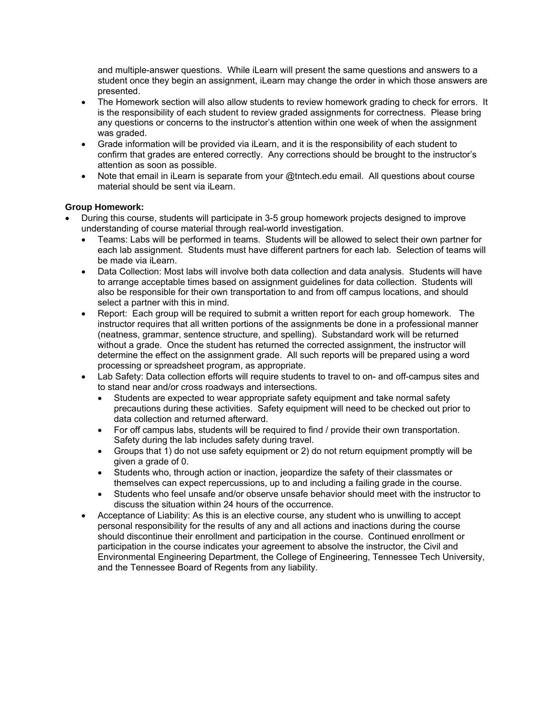and multiple-answer questions. While iLearn will present the same questions and answers to a student once they begin an assignment, iLearn may change the order in which those answers are presented.

- The Homework section will also allow students to review homework grading to check for errors. It is the responsibility of each student to review graded assignments for correctness. Please bring any questions or concerns to the instructor's attention within one week of when the assignment was graded.
- Grade information will be provided via iLearn, and it is the responsibility of each student to confirm that grades are entered correctly. Any corrections should be brought to the instructor's attention as soon as possible.
- Note that email in iLearn is separate from your @tntech.edu email. All questions about course material should be sent via iLearn.

#### **Group Homework:**

- During this course, students will participate in 3-5 group homework projects designed to improve understanding of course material through real-world investigation.
	- Teams: Labs will be performed in teams. Students will be allowed to select their own partner for each lab assignment. Students must have different partners for each lab. Selection of teams will be made via iLearn.
	- Data Collection: Most labs will involve both data collection and data analysis. Students will have to arrange acceptable times based on assignment guidelines for data collection. Students will also be responsible for their own transportation to and from off campus locations, and should select a partner with this in mind.
	- Report: Each group will be required to submit a written report for each group homework. The instructor requires that all written portions of the assignments be done in a professional manner (neatness, grammar, sentence structure, and spelling). Substandard work will be returned without a grade. Once the student has returned the corrected assignment, the instructor will determine the effect on the assignment grade. All such reports will be prepared using a word processing or spreadsheet program, as appropriate.
	- Lab Safety: Data collection efforts will require students to travel to on- and off-campus sites and to stand near and/or cross roadways and intersections.
		- Students are expected to wear appropriate safety equipment and take normal safety precautions during these activities. Safety equipment will need to be checked out prior to data collection and returned afterward.
		- For off campus labs, students will be required to find / provide their own transportation. Safety during the lab includes safety during travel.
		- Groups that 1) do not use safety equipment or 2) do not return equipment promptly will be given a grade of 0.
		- Students who, through action or inaction, jeopardize the safety of their classmates or themselves can expect repercussions, up to and including a failing grade in the course.
		- Students who feel unsafe and/or observe unsafe behavior should meet with the instructor to discuss the situation within 24 hours of the occurrence.
	- Acceptance of Liability: As this is an elective course, any student who is unwilling to accept personal responsibility for the results of any and all actions and inactions during the course should discontinue their enrollment and participation in the course. Continued enrollment or participation in the course indicates your agreement to absolve the instructor, the Civil and Environmental Engineering Department, the College of Engineering, Tennessee Tech University, and the Tennessee Board of Regents from any liability.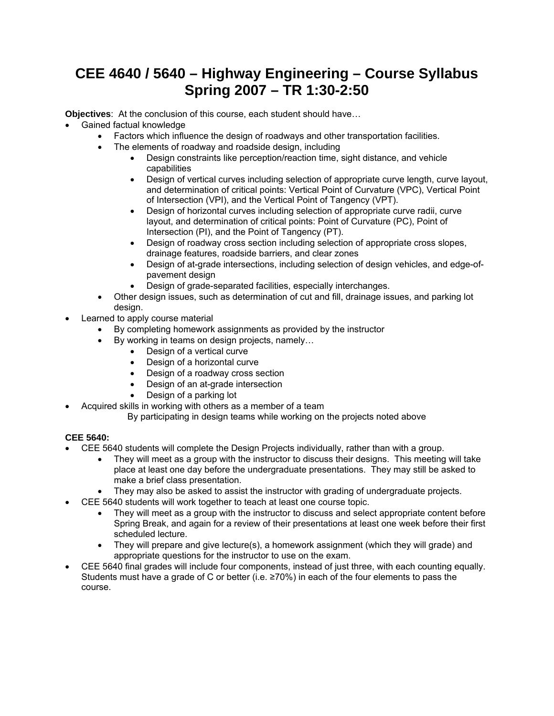# **CEE 4640 / 5640 – Highway Engineering – Course Syllabus Spring 2007 – TR 1:30-2:50**

**Objectives**: At the conclusion of this course, each student should have…

- Gained factual knowledge
	- Factors which influence the design of roadways and other transportation facilities.
		- The elements of roadway and roadside design, including
			- Design constraints like perception/reaction time, sight distance, and vehicle capabilities
			- Design of vertical curves including selection of appropriate curve length, curve layout, and determination of critical points: Vertical Point of Curvature (VPC), Vertical Point of Intersection (VPI), and the Vertical Point of Tangency (VPT).
			- Design of horizontal curves including selection of appropriate curve radii, curve layout, and determination of critical points: Point of Curvature (PC), Point of Intersection (PI), and the Point of Tangency (PT).
			- Design of roadway cross section including selection of appropriate cross slopes, drainage features, roadside barriers, and clear zones
			- Design of at-grade intersections, including selection of design vehicles, and edge-ofpavement design
			- Design of grade-separated facilities, especially interchanges.
	- Other design issues, such as determination of cut and fill, drainage issues, and parking lot design.
- Learned to apply course material
	- By completing homework assignments as provided by the instructor
		- By working in teams on design projects, namely…
			- Design of a vertical curve
			- Design of a horizontal curve
			- Design of a roadway cross section
			- Design of an at-grade intersection
			- Design of a parking lot
- Acquired skills in working with others as a member of a team
	- By participating in design teams while working on the projects noted above

## **CEE 5640:**

- CEE 5640 students will complete the Design Projects individually, rather than with a group.
	- They will meet as a group with the instructor to discuss their designs. This meeting will take place at least one day before the undergraduate presentations. They may still be asked to make a brief class presentation.
	- They may also be asked to assist the instructor with grading of undergraduate projects.
	- CEE 5640 students will work together to teach at least one course topic.
		- They will meet as a group with the instructor to discuss and select appropriate content before Spring Break, and again for a review of their presentations at least one week before their first scheduled lecture.
		- They will prepare and give lecture(s), a homework assignment (which they will grade) and appropriate questions for the instructor to use on the exam.
- CEE 5640 final grades will include four components, instead of just three, with each counting equally. Students must have a grade of C or better (i.e. ≥70%) in each of the four elements to pass the course.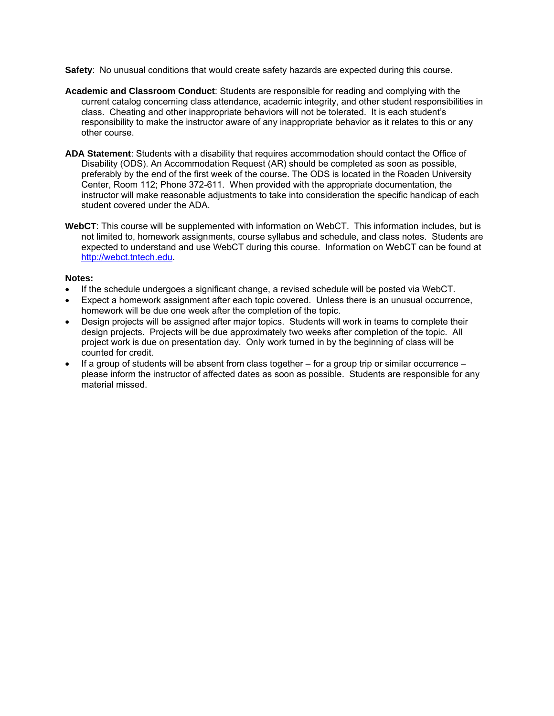**Safety**: No unusual conditions that would create safety hazards are expected during this course.

- **Academic and Classroom Conduct**: Students are responsible for reading and complying with the current catalog concerning class attendance, academic integrity, and other student responsibilities in class. Cheating and other inappropriate behaviors will not be tolerated. It is each student's responsibility to make the instructor aware of any inappropriate behavior as it relates to this or any other course.
- **ADA Statement**: Students with a disability that requires accommodation should contact the Office of Disability (ODS). An Accommodation Request (AR) should be completed as soon as possible, preferably by the end of the first week of the course. The ODS is located in the Roaden University Center, Room 112; Phone 372-611. When provided with the appropriate documentation, the instructor will make reasonable adjustments to take into consideration the specific handicap of each student covered under the ADA.
- **WebCT**: This course will be supplemented with information on WebCT. This information includes, but is not limited to, homework assignments, course syllabus and schedule, and class notes. Students are expected to understand and use WebCT during this course. Information on WebCT can be found at http://webct.tntech.edu.

#### **Notes:**

- If the schedule undergoes a significant change, a revised schedule will be posted via WebCT.
- Expect a homework assignment after each topic covered. Unless there is an unusual occurrence, homework will be due one week after the completion of the topic.
- Design projects will be assigned after major topics. Students will work in teams to complete their design projects. Projects will be due approximately two weeks after completion of the topic. All project work is due on presentation day. Only work turned in by the beginning of class will be counted for credit.
- If a group of students will be absent from class together for a group trip or similar occurrence please inform the instructor of affected dates as soon as possible. Students are responsible for any material missed.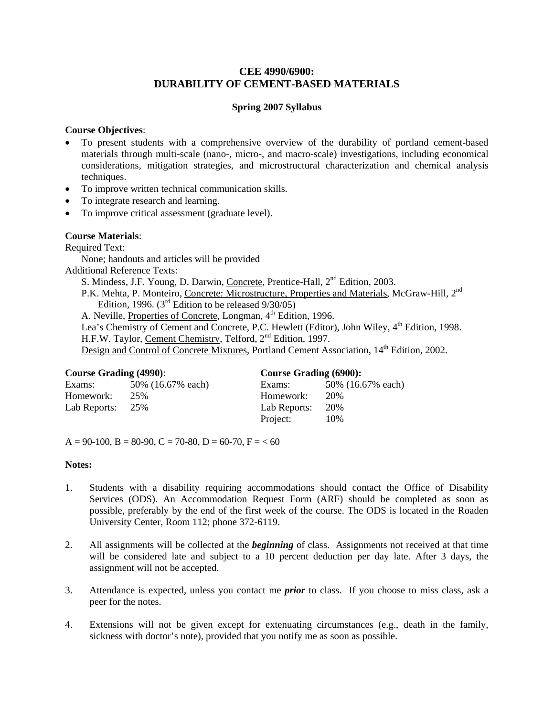## **CEE 4990/6900: DURABILITY OF CEMENT-BASED MATERIALS**

#### **Spring 2007 Syllabus**

#### **Course Objectives**:

- To present students with a comprehensive overview of the durability of portland cement-based materials through multi-scale (nano-, micro-, and macro-scale) investigations, including economical considerations, mitigation strategies, and microstructural characterization and chemical analysis techniques.
- To improve written technical communication skills.
- To integrate research and learning.
- To improve critical assessment (graduate level).

#### **Course Materials**:

Required Text:

None; handouts and articles will be provided

Additional Reference Texts:

S. Mindess, J.F. Young, D. Darwin, Concrete, Prentice-Hall, 2<sup>nd</sup> Edition, 2003.

P.K. Mehta, P. Monteiro, Concrete: Microstructure, Properties and Materials, McGraw-Hill, 2<sup>nd</sup> Edition, 1996. ( $3<sup>rd</sup>$  Edition to be released  $9/30/05$ )

A. Neville, Properties of Concrete, Longman, 4<sup>th</sup> Edition, 1996.

Lea's Chemistry of Cement and Concrete, P.C. Hewlett (Editor), John Wiley, 4<sup>th</sup> Edition, 1998.

H.F.W. Taylor, Cement Chemistry, Telford, 2<sup>nd</sup> Edition, 1997.

Design and Control of Concrete Mixtures, Portland Cement Association, 14<sup>th</sup> Edition, 2002.

| <b>Course Grading (4990):</b> |                   | <b>Course Grading (6900):</b> |                   |  |  |
|-------------------------------|-------------------|-------------------------------|-------------------|--|--|
| Exams:                        | 50% (16.67% each) | Exams:                        | 50% (16.67% each) |  |  |
| Homework:                     | 25%               | Homework:                     | 20%               |  |  |
| Lab Reports:                  | 25%               | Lab Reports:                  | 20%               |  |  |
|                               |                   | Project:                      | 10%               |  |  |

 $A = 90-100$ ,  $B = 80-90$ ,  $C = 70-80$ ,  $D = 60-70$ ,  $F = 60$ 

#### **Notes:**

- 1. Students with a disability requiring accommodations should contact the Office of Disability Services (ODS). An Accommodation Request Form (ARF) should be completed as soon as possible, preferably by the end of the first week of the course. The ODS is located in the Roaden University Center, Room 112; phone 372-6119.
- 2. All assignments will be collected at the *beginning* of class. Assignments not received at that time will be considered late and subject to a 10 percent deduction per day late. After 3 days, the assignment will not be accepted.
- 3. Attendance is expected, unless you contact me *prior* to class. If you choose to miss class, ask a peer for the notes.
- 4. Extensions will not be given except for extenuating circumstances (e.g., death in the family, sickness with doctor's note), provided that you notify me as soon as possible.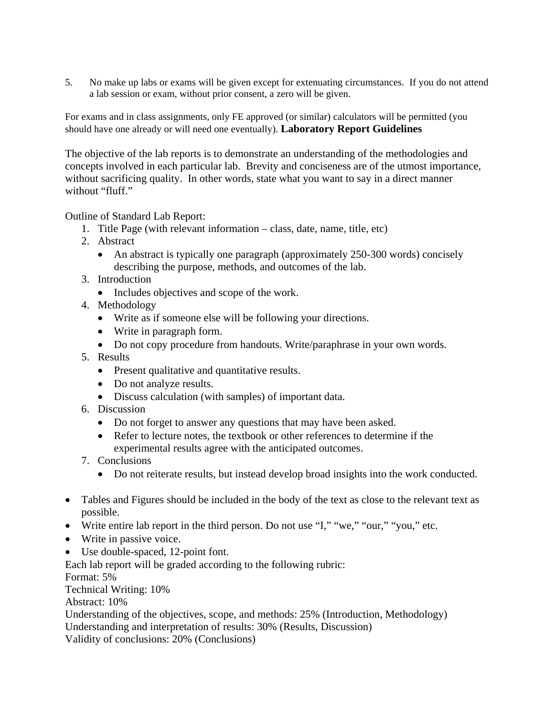5. No make up labs or exams will be given except for extenuating circumstances. If you do not attend a lab session or exam, without prior consent, a zero will be given.

For exams and in class assignments, only FE approved (or similar) calculators will be permitted (you should have one already or will need one eventually). **Laboratory Report Guidelines** 

The objective of the lab reports is to demonstrate an understanding of the methodologies and concepts involved in each particular lab. Brevity and conciseness are of the utmost importance, without sacrificing quality. In other words, state what you want to say in a direct manner without "fluff."

Outline of Standard Lab Report:

- 1. Title Page (with relevant information class, date, name, title, etc)
- 2. Abstract
	- An abstract is typically one paragraph (approximately 250-300 words) concisely describing the purpose, methods, and outcomes of the lab.
- 3. Introduction
	- Includes objectives and scope of the work.
- 4. Methodology
	- Write as if someone else will be following your directions.
	- Write in paragraph form.
	- Do not copy procedure from handouts. Write/paraphrase in your own words.
- 5. Results
	- Present qualitative and quantitative results.
	- Do not analyze results.
	- Discuss calculation (with samples) of important data.
- 6. Discussion
	- Do not forget to answer any questions that may have been asked.
	- Refer to lecture notes, the textbook or other references to determine if the experimental results agree with the anticipated outcomes.
- 7. Conclusions
	- Do not reiterate results, but instead develop broad insights into the work conducted.
- Tables and Figures should be included in the body of the text as close to the relevant text as possible.
- Write entire lab report in the third person. Do not use "I," "we," "our," "you," etc.
- Write in passive voice.
- Use double-spaced, 12-point font.

Each lab report will be graded according to the following rubric:

Format: 5%

Technical Writing: 10%

Abstract: 10%

Understanding of the objectives, scope, and methods: 25% (Introduction, Methodology) Understanding and interpretation of results: 30% (Results, Discussion) Validity of conclusions: 20% (Conclusions)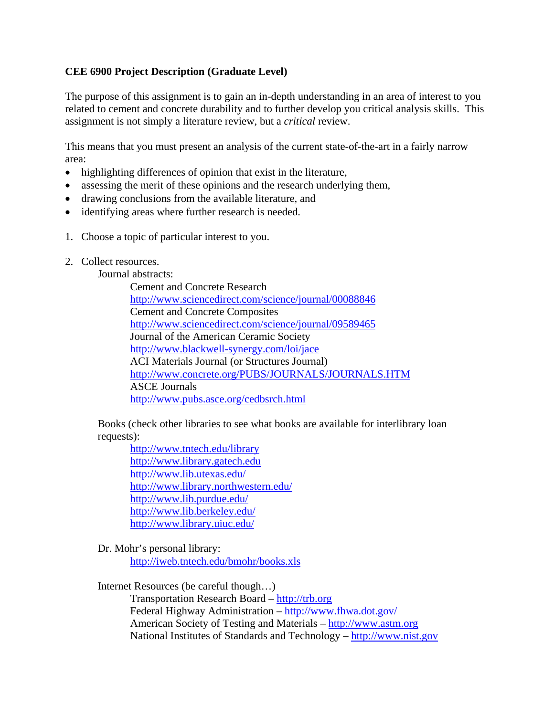## **CEE 6900 Project Description (Graduate Level)**

The purpose of this assignment is to gain an in-depth understanding in an area of interest to you related to cement and concrete durability and to further develop you critical analysis skills. This assignment is not simply a literature review, but a *critical* review.

This means that you must present an analysis of the current state-of-the-art in a fairly narrow area:

- highlighting differences of opinion that exist in the literature,
- assessing the merit of these opinions and the research underlying them,
- drawing conclusions from the available literature, and
- identifying areas where further research is needed.
- 1. Choose a topic of particular interest to you.
- 2. Collect resources.

## Journal abstracts:

Cement and Concrete Research http://www.sciencedirect.com/science/journal/00088846 Cement and Concrete Composites http://www.sciencedirect.com/science/journal/09589465 Journal of the American Ceramic Society http://www.blackwell-synergy.com/loi/jace ACI Materials Journal (or Structures Journal) http://www.concrete.org/PUBS/JOURNALS/JOURNALS.HTM ASCE Journals http://www.pubs.asce.org/cedbsrch.html

Books (check other libraries to see what books are available for interlibrary loan requests):

http://www.tntech.edu/library http://www.library.gatech.edu http://www.lib.utexas.edu/ http://www.library.northwestern.edu/ http://www.lib.purdue.edu/ http://www.lib.berkeley.edu/ http://www.library.uiuc.edu/

Dr. Mohr's personal library: http://iweb.tntech.edu/bmohr/books.xls

Internet Resources (be careful though…)

 Transportation Research Board – http://trb.org Federal Highway Administration – http://www.fhwa.dot.gov/ American Society of Testing and Materials – http://www.astm.org National Institutes of Standards and Technology – http://www.nist.gov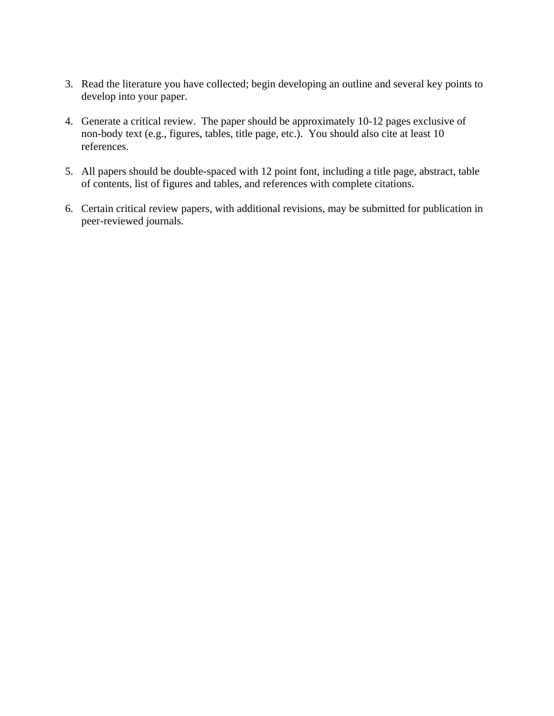- 3. Read the literature you have collected; begin developing an outline and several key points to develop into your paper.
- 4. Generate a critical review. The paper should be approximately 10-12 pages exclusive of non-body text (e.g., figures, tables, title page, etc.). You should also cite at least 10 references.
- 5. All papers should be double-spaced with 12 point font, including a title page, abstract, table of contents, list of figures and tables, and references with complete citations.
- 6. Certain critical review papers, with additional revisions, may be submitted for publication in peer-reviewed journals.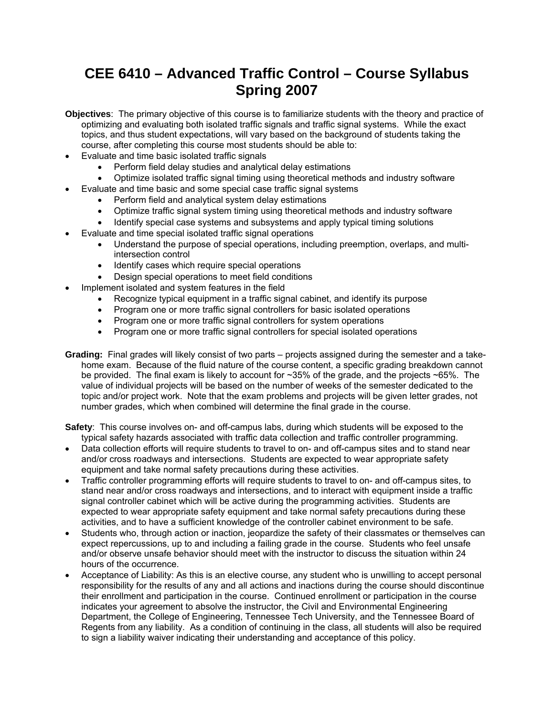# **CEE 6410 – Advanced Traffic Control – Course Syllabus Spring 2007**

- **Objectives**: The primary objective of this course is to familiarize students with the theory and practice of optimizing and evaluating both isolated traffic signals and traffic signal systems. While the exact topics, and thus student expectations, will vary based on the background of students taking the course, after completing this course most students should be able to:
- Evaluate and time basic isolated traffic signals
	- Perform field delay studies and analytical delay estimations
	- Optimize isolated traffic signal timing using theoretical methods and industry software
- Evaluate and time basic and some special case traffic signal systems
	- Perform field and analytical system delay estimations
	- Optimize traffic signal system timing using theoretical methods and industry software
	- Identify special case systems and subsystems and apply typical timing solutions
- Evaluate and time special isolated traffic signal operations
	- Understand the purpose of special operations, including preemption, overlaps, and multiintersection control
	- Identify cases which require special operations
	- Design special operations to meet field conditions
- Implement isolated and system features in the field
	- Recognize typical equipment in a traffic signal cabinet, and identify its purpose
	- Program one or more traffic signal controllers for basic isolated operations
	- Program one or more traffic signal controllers for system operations
	- Program one or more traffic signal controllers for special isolated operations
- **Grading:** Final grades will likely consist of two parts projects assigned during the semester and a takehome exam. Because of the fluid nature of the course content, a specific grading breakdown cannot be provided. The final exam is likely to account for ~35% of the grade, and the projects ~65%. The value of individual projects will be based on the number of weeks of the semester dedicated to the topic and/or project work. Note that the exam problems and projects will be given letter grades, not number grades, which when combined will determine the final grade in the course.
- **Safety**: This course involves on- and off-campus labs, during which students will be exposed to the typical safety hazards associated with traffic data collection and traffic controller programming.
- Data collection efforts will require students to travel to on- and off-campus sites and to stand near and/or cross roadways and intersections. Students are expected to wear appropriate safety equipment and take normal safety precautions during these activities.
- Traffic controller programming efforts will require students to travel to on- and off-campus sites, to stand near and/or cross roadways and intersections, and to interact with equipment inside a traffic signal controller cabinet which will be active during the programming activities. Students are expected to wear appropriate safety equipment and take normal safety precautions during these activities, and to have a sufficient knowledge of the controller cabinet environment to be safe.
- Students who, through action or inaction, jeopardize the safety of their classmates or themselves can expect repercussions, up to and including a failing grade in the course. Students who feel unsafe and/or observe unsafe behavior should meet with the instructor to discuss the situation within 24 hours of the occurrence.
- Acceptance of Liability: As this is an elective course, any student who is unwilling to accept personal responsibility for the results of any and all actions and inactions during the course should discontinue their enrollment and participation in the course. Continued enrollment or participation in the course indicates your agreement to absolve the instructor, the Civil and Environmental Engineering Department, the College of Engineering, Tennessee Tech University, and the Tennessee Board of Regents from any liability. As a condition of continuing in the class, all students will also be required to sign a liability waiver indicating their understanding and acceptance of this policy.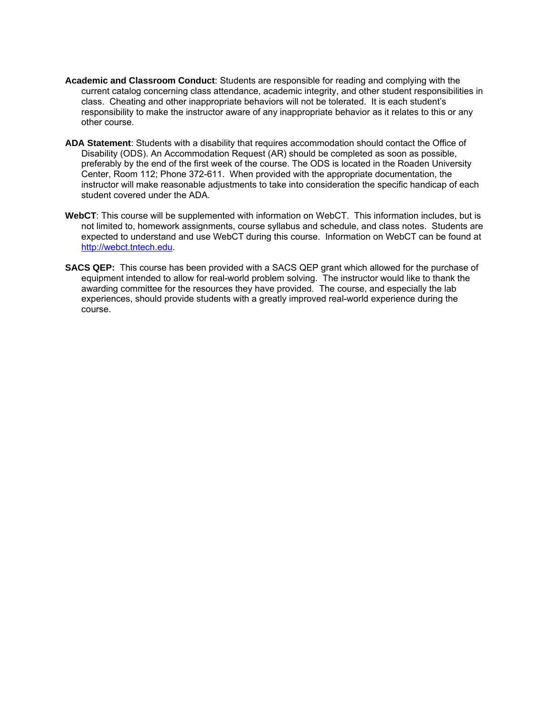- **Academic and Classroom Conduct**: Students are responsible for reading and complying with the current catalog concerning class attendance, academic integrity, and other student responsibilities in class. Cheating and other inappropriate behaviors will not be tolerated. It is each student's responsibility to make the instructor aware of any inappropriate behavior as it relates to this or any other course.
- **ADA Statement**: Students with a disability that requires accommodation should contact the Office of Disability (ODS). An Accommodation Request (AR) should be completed as soon as possible, preferably by the end of the first week of the course. The ODS is located in the Roaden University Center, Room 112; Phone 372-611. When provided with the appropriate documentation, the instructor will make reasonable adjustments to take into consideration the specific handicap of each student covered under the ADA.
- **WebCT**: This course will be supplemented with information on WebCT. This information includes, but is not limited to, homework assignments, course syllabus and schedule, and class notes. Students are expected to understand and use WebCT during this course. Information on WebCT can be found at http://webct.tntech.edu.
- **SACS QEP:** This course has been provided with a SACS QEP grant which allowed for the purchase of equipment intended to allow for real-world problem solving. The instructor would like to thank the awarding committee for the resources they have provided. The course, and especially the lab experiences, should provide students with a greatly improved real-world experience during the course.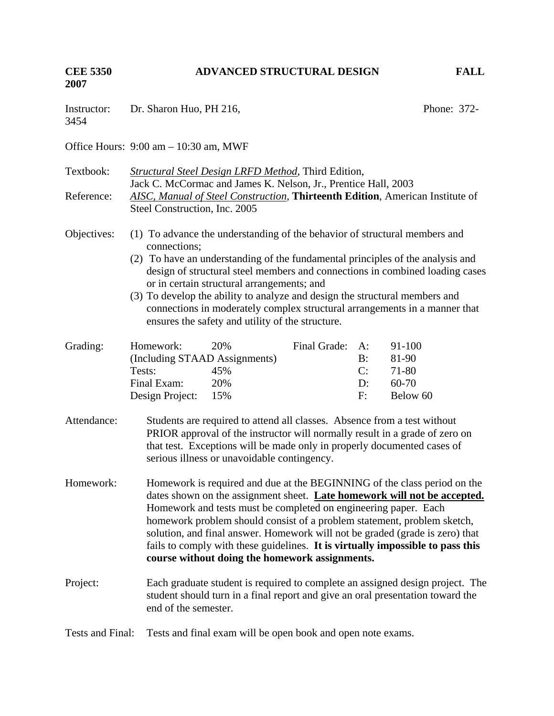**CEE 5350 ADVANCED STRUCTURAL DESIGN FALL 2007**  Instructor: Dr. Sharon Huo, PH 216, Phone: 372-3454 Office Hours: 9:00 am – 10:30 am, MWF Textbook: *Structural Steel Design LRFD Method*, Third Edition, Jack C. McCormac and James K. Nelson, Jr., Prentice Hall, 2003 Reference: *AISC, Manual of Steel Construction*, **Thirteenth Edition**, American Institute of Steel Construction, Inc. 2005 Objectives: (1) To advance the understanding of the behavior of structural members and connections; (2) To have an understanding of the fundamental principles of the analysis and design of structural steel members and connections in combined loading cases or in certain structural arrangements; and (3) To develop the ability to analyze and design the structural members and connections in moderately complex structural arrangements in a manner that ensures the safety and utility of the structure. Grading: Homework: 20% Final Grade: A: 91-100 (Including STAAD Assignments) B: 81-90 Tests: 45% C: 71-80 Final Exam: 20% D: 60-70 Design Project: 15% F: Below 60 Attendance: Students are required to attend all classes. Absence from a test without PRIOR approval of the instructor will normally result in a grade of zero on that test. Exceptions will be made only in properly documented cases of serious illness or unavoidable contingency. Homework: Homework is required and due at the BEGINNING of the class period on the dates shown on the assignment sheet. **Late homework will not be accepted.** Homework and tests must be completed on engineering paper. Each homework problem should consist of a problem statement, problem sketch, solution, and final answer. Homework will not be graded (grade is zero) that fails to comply with these guidelines. **It is virtually impossible to pass this course without doing the homework assignments.**  Project: Each graduate student is required to complete an assigned design project. The student should turn in a final report and give an oral presentation toward the end of the semester. Tests and Final: Tests and final exam will be open book and open note exams.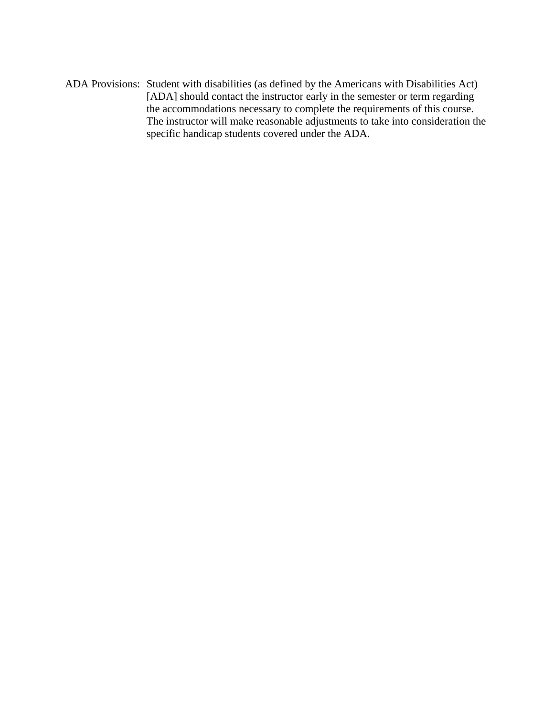ADA Provisions: Student with disabilities (as defined by the Americans with Disabilities Act) [ADA] should contact the instructor early in the semester or term regarding the accommodations necessary to complete the requirements of this course. The instructor will make reasonable adjustments to take into consideration the specific handicap students covered under the ADA.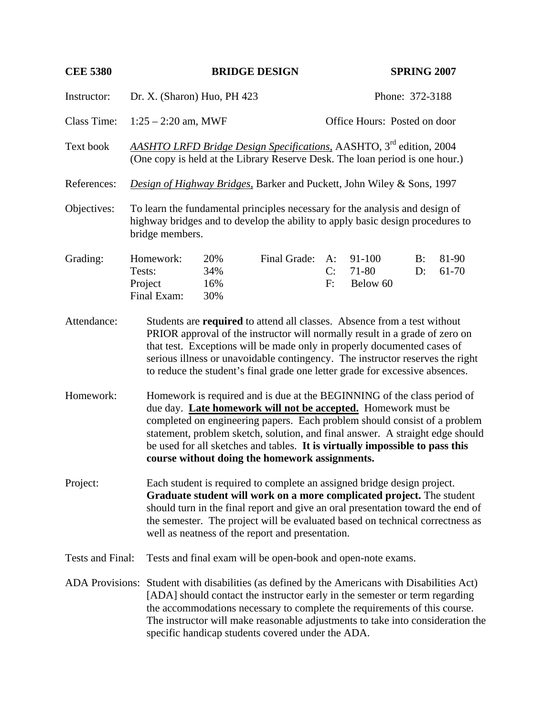| <b>CEE 5380</b>                                                                                                                                                                                                                                                                                                                                                                                  | <b>SPRING 2007</b><br><b>BRIDGE DESIGN</b>                                                                                                                                                                                                                                                                                                                                                          |                                                                                                                                                                                   |                                                                                                                                                                                                                                                                                                                                                                                                                                          |                   |                              |             |                |
|--------------------------------------------------------------------------------------------------------------------------------------------------------------------------------------------------------------------------------------------------------------------------------------------------------------------------------------------------------------------------------------------------|-----------------------------------------------------------------------------------------------------------------------------------------------------------------------------------------------------------------------------------------------------------------------------------------------------------------------------------------------------------------------------------------------------|-----------------------------------------------------------------------------------------------------------------------------------------------------------------------------------|------------------------------------------------------------------------------------------------------------------------------------------------------------------------------------------------------------------------------------------------------------------------------------------------------------------------------------------------------------------------------------------------------------------------------------------|-------------------|------------------------------|-------------|----------------|
| Instructor:                                                                                                                                                                                                                                                                                                                                                                                      | Dr. X. (Sharon) Huo, PH 423<br>Phone: 372-3188                                                                                                                                                                                                                                                                                                                                                      |                                                                                                                                                                                   |                                                                                                                                                                                                                                                                                                                                                                                                                                          |                   |                              |             |                |
| <b>Class Time:</b>                                                                                                                                                                                                                                                                                                                                                                               |                                                                                                                                                                                                                                                                                                                                                                                                     | $1:25 - 2:20$ am, MWF                                                                                                                                                             |                                                                                                                                                                                                                                                                                                                                                                                                                                          |                   | Office Hours: Posted on door |             |                |
| Text book                                                                                                                                                                                                                                                                                                                                                                                        |                                                                                                                                                                                                                                                                                                                                                                                                     | AASHTO LRFD Bridge Design Specifications, AASHTO, 3 <sup>rd</sup> edition, 2004<br>(One copy is held at the Library Reserve Desk. The loan period is one hour.)                   |                                                                                                                                                                                                                                                                                                                                                                                                                                          |                   |                              |             |                |
| References:                                                                                                                                                                                                                                                                                                                                                                                      |                                                                                                                                                                                                                                                                                                                                                                                                     | Design of Highway Bridges, Barker and Puckett, John Wiley & Sons, 1997                                                                                                            |                                                                                                                                                                                                                                                                                                                                                                                                                                          |                   |                              |             |                |
| Objectives:                                                                                                                                                                                                                                                                                                                                                                                      |                                                                                                                                                                                                                                                                                                                                                                                                     | To learn the fundamental principles necessary for the analysis and design of<br>highway bridges and to develop the ability to apply basic design procedures to<br>bridge members. |                                                                                                                                                                                                                                                                                                                                                                                                                                          |                   |                              |             |                |
| Grading:                                                                                                                                                                                                                                                                                                                                                                                         | Homework:<br>Tests:<br>Project<br>Final Exam:                                                                                                                                                                                                                                                                                                                                                       | 20%<br>34%<br>16%<br>30%                                                                                                                                                          | Final Grade:                                                                                                                                                                                                                                                                                                                                                                                                                             | $A$ :<br>C:<br>F: | 91-100<br>71-80<br>Below 60  | $B$ :<br>D: | 81-90<br>61-70 |
| Attendance:                                                                                                                                                                                                                                                                                                                                                                                      | Students are required to attend all classes. Absence from a test without<br>PRIOR approval of the instructor will normally result in a grade of zero on<br>that test. Exceptions will be made only in properly documented cases of<br>serious illness or unavoidable contingency. The instructor reserves the right<br>to reduce the student's final grade one letter grade for excessive absences. |                                                                                                                                                                                   |                                                                                                                                                                                                                                                                                                                                                                                                                                          |                   |                              |             |                |
| Homework:                                                                                                                                                                                                                                                                                                                                                                                        |                                                                                                                                                                                                                                                                                                                                                                                                     |                                                                                                                                                                                   | Homework is required and is due at the BEGINNING of the class period of<br>due day. Late homework will not be accepted. Homework must be<br>completed on engineering papers. Each problem should consist of a problem<br>statement, problem sketch, solution, and final answer. A straight edge should<br>be used for all sketches and tables. It is virtually impossible to pass this<br>course without doing the homework assignments. |                   |                              |             |                |
| Project:                                                                                                                                                                                                                                                                                                                                                                                         | Each student is required to complete an assigned bridge design project.<br>Graduate student will work on a more complicated project. The student<br>should turn in the final report and give an oral presentation toward the end of<br>the semester. The project will be evaluated based on technical correctness as<br>well as neatness of the report and presentation.                            |                                                                                                                                                                                   |                                                                                                                                                                                                                                                                                                                                                                                                                                          |                   |                              |             |                |
| Tests and Final:<br>Tests and final exam will be open-book and open-note exams.                                                                                                                                                                                                                                                                                                                  |                                                                                                                                                                                                                                                                                                                                                                                                     |                                                                                                                                                                                   |                                                                                                                                                                                                                                                                                                                                                                                                                                          |                   |                              |             |                |
| ADA Provisions: Student with disabilities (as defined by the Americans with Disabilities Act)<br>[ADA] should contact the instructor early in the semester or term regarding<br>the accommodations necessary to complete the requirements of this course.<br>The instructor will make reasonable adjustments to take into consideration the<br>specific handicap students covered under the ADA. |                                                                                                                                                                                                                                                                                                                                                                                                     |                                                                                                                                                                                   |                                                                                                                                                                                                                                                                                                                                                                                                                                          |                   |                              |             |                |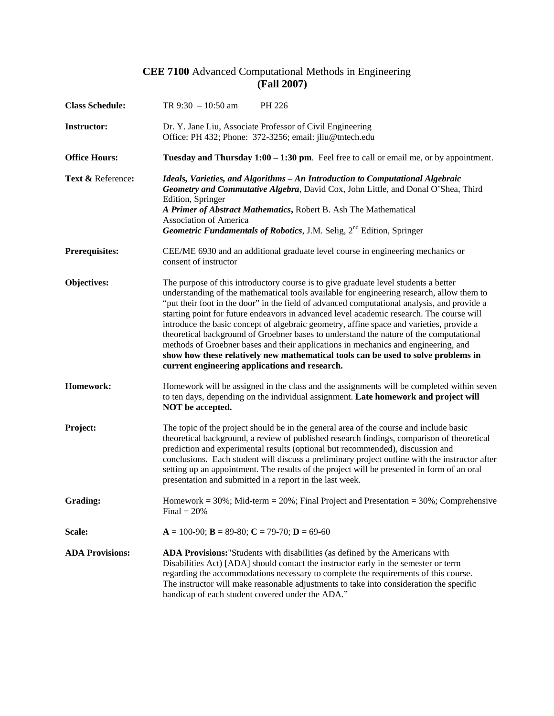## **CEE 7100** Advanced Computational Methods in Engineering **(Fall 2007)**

| <b>Class Schedule:</b> | TR $9:30 - 10:50$ am<br>PH 226                                                                                                                                                                                                                                                                                                                                                                                                                                                                                                                                                                                                                                                                                                                                                                 |  |  |  |
|------------------------|------------------------------------------------------------------------------------------------------------------------------------------------------------------------------------------------------------------------------------------------------------------------------------------------------------------------------------------------------------------------------------------------------------------------------------------------------------------------------------------------------------------------------------------------------------------------------------------------------------------------------------------------------------------------------------------------------------------------------------------------------------------------------------------------|--|--|--|
| <b>Instructor:</b>     | Dr. Y. Jane Liu, Associate Professor of Civil Engineering<br>Office: PH 432; Phone: 372-3256; email: jliu@tntech.edu                                                                                                                                                                                                                                                                                                                                                                                                                                                                                                                                                                                                                                                                           |  |  |  |
| <b>Office Hours:</b>   | Tuesday and Thursday 1:00 – 1:30 pm. Feel free to call or email me, or by appointment.                                                                                                                                                                                                                                                                                                                                                                                                                                                                                                                                                                                                                                                                                                         |  |  |  |
| Text & Reference:      | Ideals, Varieties, and Algorithms - An Introduction to Computational Algebraic<br>Geometry and Commutative Algebra, David Cox, John Little, and Donal O'Shea, Third<br>Edition, Springer<br>A Primer of Abstract Mathematics, Robert B. Ash The Mathematical<br><b>Association of America</b><br>Geometric Fundamentals of Robotics, J.M. Selig, 2 <sup>nd</sup> Edition, Springer                                                                                                                                                                                                                                                                                                                                                                                                             |  |  |  |
| <b>Prerequisites:</b>  | CEE/ME 6930 and an additional graduate level course in engineering mechanics or<br>consent of instructor                                                                                                                                                                                                                                                                                                                                                                                                                                                                                                                                                                                                                                                                                       |  |  |  |
| Objectives:            | The purpose of this introductory course is to give graduate level students a better<br>understanding of the mathematical tools available for engineering research, allow them to<br>"put their foot in the door" in the field of advanced computational analysis, and provide a<br>starting point for future endeavors in advanced level academic research. The course will<br>introduce the basic concept of algebraic geometry, affine space and varieties, provide a<br>theoretical background of Groebner bases to understand the nature of the computational<br>methods of Groebner bases and their applications in mechanics and engineering, and<br>show how these relatively new mathematical tools can be used to solve problems in<br>current engineering applications and research. |  |  |  |
| Homework:              | Homework will be assigned in the class and the assignments will be completed within seven<br>to ten days, depending on the individual assignment. Late homework and project will<br>NOT be accepted.                                                                                                                                                                                                                                                                                                                                                                                                                                                                                                                                                                                           |  |  |  |
| Project:               | The topic of the project should be in the general area of the course and include basic<br>theoretical background, a review of published research findings, comparison of theoretical<br>prediction and experimental results (optional but recommended), discussion and<br>conclusions. Each student will discuss a preliminary project outline with the instructor after<br>setting up an appointment. The results of the project will be presented in form of an oral<br>presentation and submitted in a report in the last week.                                                                                                                                                                                                                                                             |  |  |  |
| Grading:               | Homework = $30\%$ ; Mid-term = $20\%$ ; Final Project and Presentation = $30\%$ ; Comprehensive<br>$Final = 20\%$                                                                                                                                                                                                                                                                                                                                                                                                                                                                                                                                                                                                                                                                              |  |  |  |
| Scale:                 | $A = 100-90$ ; $B = 89-80$ ; $C = 79-70$ ; $D = 69-60$                                                                                                                                                                                                                                                                                                                                                                                                                                                                                                                                                                                                                                                                                                                                         |  |  |  |
| <b>ADA Provisions:</b> | <b>ADA Provisions:</b> "Students with disabilities (as defined by the Americans with<br>Disabilities Act) [ADA] should contact the instructor early in the semester or term<br>regarding the accommodations necessary to complete the requirements of this course.<br>The instructor will make reasonable adjustments to take into consideration the specific<br>handicap of each student covered under the ADA."                                                                                                                                                                                                                                                                                                                                                                              |  |  |  |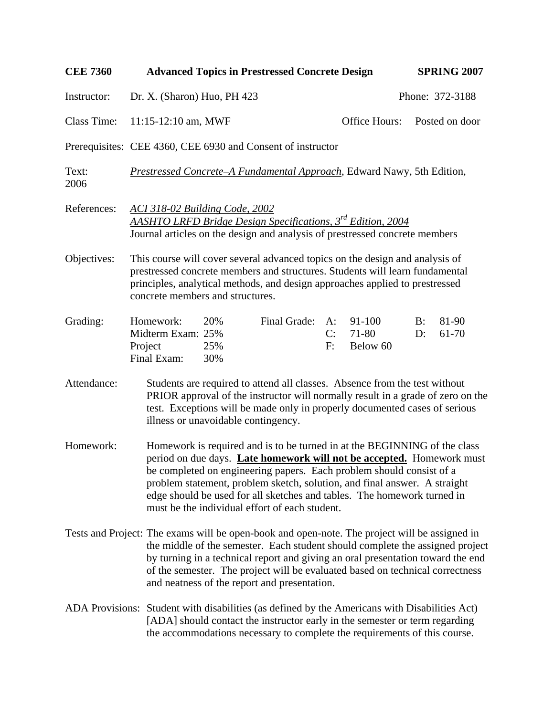| <b>CEE 7360</b>    |                                                                                                                                                                                                                                                                                  | <b>Advanced Topics in Prestressed Concrete Design</b>                                                                                                                                                                                                                                                                                                                                                                                |              |                | <b>SPRING 2007</b>              |          |                 |
|--------------------|----------------------------------------------------------------------------------------------------------------------------------------------------------------------------------------------------------------------------------------------------------------------------------|--------------------------------------------------------------------------------------------------------------------------------------------------------------------------------------------------------------------------------------------------------------------------------------------------------------------------------------------------------------------------------------------------------------------------------------|--------------|----------------|---------------------------------|----------|-----------------|
| Instructor:        | Dr. X. (Sharon) Huo, PH 423                                                                                                                                                                                                                                                      |                                                                                                                                                                                                                                                                                                                                                                                                                                      |              |                |                                 |          | Phone: 372-3188 |
| <b>Class Time:</b> | 11:15-12:10 am, MWF                                                                                                                                                                                                                                                              |                                                                                                                                                                                                                                                                                                                                                                                                                                      |              |                | Office Hours:                   |          | Posted on door  |
|                    | Prerequisites: CEE 4360, CEE 6930 and Consent of instructor                                                                                                                                                                                                                      |                                                                                                                                                                                                                                                                                                                                                                                                                                      |              |                |                                 |          |                 |
| Text:<br>2006      |                                                                                                                                                                                                                                                                                  | <b>Prestressed Concrete–A Fundamental Approach, Edward Nawy, 5th Edition,</b>                                                                                                                                                                                                                                                                                                                                                        |              |                |                                 |          |                 |
| References:        |                                                                                                                                                                                                                                                                                  | <b>ACI 318-02 Building Code, 2002</b><br><b>AASHTO LRFD Bridge Design Specifications, 3<sup>rd</sup> Edition, 2004</b><br>Journal articles on the design and analysis of prestressed concrete members                                                                                                                                                                                                                                |              |                |                                 |          |                 |
| Objectives:        | This course will cover several advanced topics on the design and analysis of<br>prestressed concrete members and structures. Students will learn fundamental<br>principles, analytical methods, and design approaches applied to prestressed<br>concrete members and structures. |                                                                                                                                                                                                                                                                                                                                                                                                                                      |              |                |                                 |          |                 |
| Grading:           | Homework:<br>Midterm Exam: 25%<br>Project<br>Final Exam:                                                                                                                                                                                                                         | 20%<br>25%<br>30%                                                                                                                                                                                                                                                                                                                                                                                                                    | Final Grade: | A:<br>C:<br>F: | 91-100<br>$71 - 80$<br>Below 60 | B:<br>D: | 81-90<br>61-70  |
| Attendance:        |                                                                                                                                                                                                                                                                                  | Students are required to attend all classes. Absence from the test without<br>PRIOR approval of the instructor will normally result in a grade of zero on the<br>test. Exceptions will be made only in properly documented cases of serious<br>illness or unavoidable contingency.                                                                                                                                                   |              |                |                                 |          |                 |
| Homework:          |                                                                                                                                                                                                                                                                                  | Homework is required and is to be turned in at the BEGINNING of the class<br>period on due days. Late homework will not be accepted. Homework must<br>be completed on engineering papers. Each problem should consist of a<br>problem statement, problem sketch, solution, and final answer. A straight<br>edge should be used for all sketches and tables. The homework turned in<br>must be the individual effort of each student. |              |                |                                 |          |                 |
|                    |                                                                                                                                                                                                                                                                                  | Tests and Project: The exams will be open-book and open-note. The project will be assigned in<br>the middle of the semester. Each student should complete the assigned project<br>by turning in a technical report and giving an oral presentation toward the end<br>of the semester. The project will be evaluated based on technical correctness<br>and neatness of the report and presentation.                                   |              |                |                                 |          |                 |
|                    |                                                                                                                                                                                                                                                                                  | ADA Provisions: Student with disabilities (as defined by the Americans with Disabilities Act)<br>[ADA] should contact the instructor early in the semester or term regarding<br>the accommodations necessary to complete the requirements of this course.                                                                                                                                                                            |              |                |                                 |          |                 |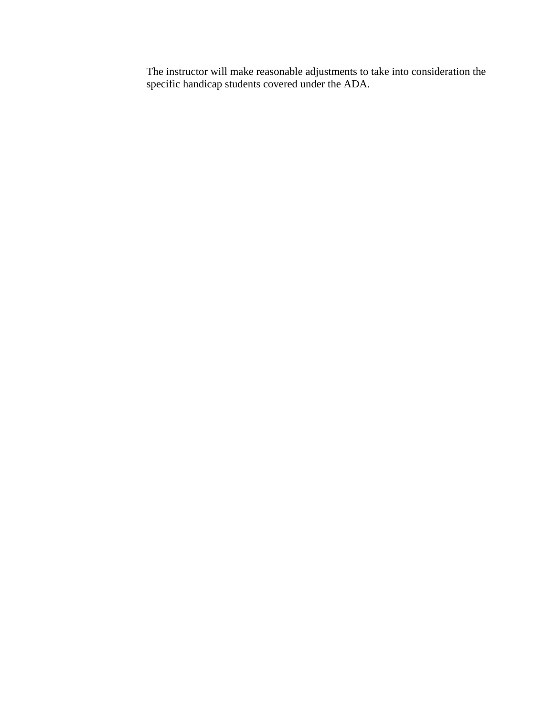The instructor will make reasonable adjustments to take into consideration the specific handicap students covered under the ADA.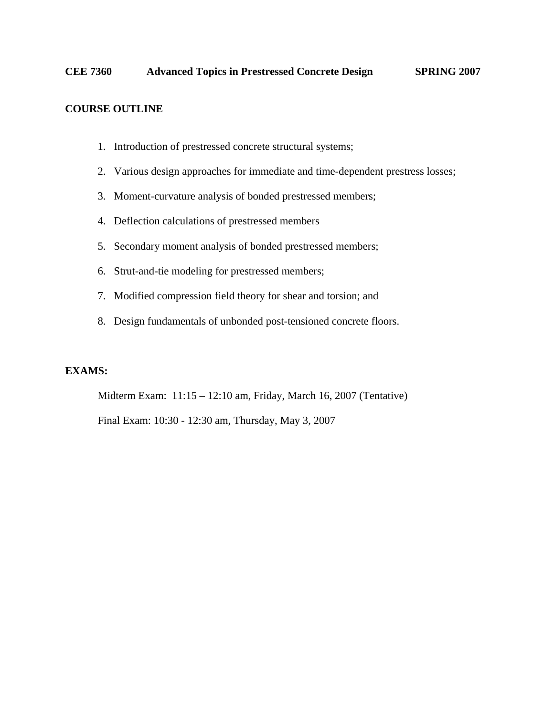## **COURSE OUTLINE**

- 1. Introduction of prestressed concrete structural systems;
- 2. Various design approaches for immediate and time-dependent prestress losses;
- 3. Moment-curvature analysis of bonded prestressed members;
- 4. Deflection calculations of prestressed members
- 5. Secondary moment analysis of bonded prestressed members;
- 6. Strut-and-tie modeling for prestressed members;
- 7. Modified compression field theory for shear and torsion; and
- 8. Design fundamentals of unbonded post-tensioned concrete floors.

## **EXAMS:**

Midterm Exam: 11:15 – 12:10 am, Friday, March 16, 2007 (Tentative)

Final Exam: 10:30 - 12:30 am, Thursday, May 3, 2007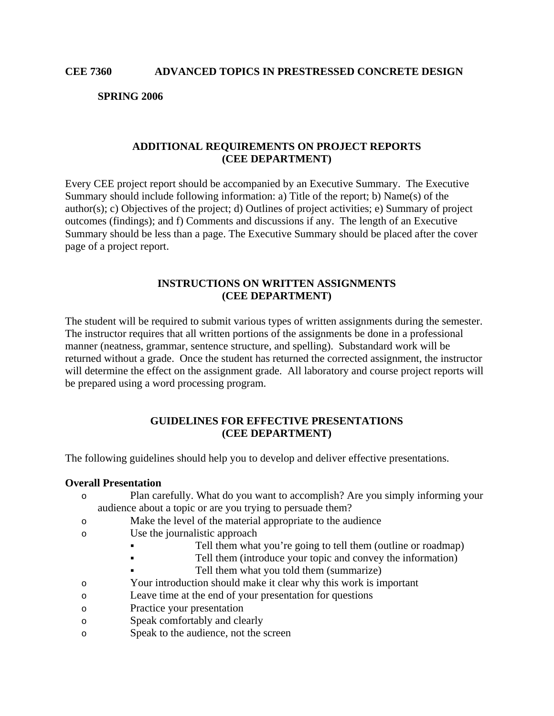**SPRING 2006** 

## **ADDITIONAL REQUIREMENTS ON PROJECT REPORTS (CEE DEPARTMENT)**

Every CEE project report should be accompanied by an Executive Summary. The Executive Summary should include following information: a) Title of the report; b) Name(s) of the author(s); c) Objectives of the project; d) Outlines of project activities; e) Summary of project outcomes (findings); and f) Comments and discussions if any. The length of an Executive Summary should be less than a page. The Executive Summary should be placed after the cover page of a project report.

## **INSTRUCTIONS ON WRITTEN ASSIGNMENTS (CEE DEPARTMENT)**

The student will be required to submit various types of written assignments during the semester. The instructor requires that all written portions of the assignments be done in a professional manner (neatness, grammar, sentence structure, and spelling). Substandard work will be returned without a grade. Once the student has returned the corrected assignment, the instructor will determine the effect on the assignment grade. All laboratory and course project reports will be prepared using a word processing program.

## **GUIDELINES FOR EFFECTIVE PRESENTATIONS (CEE DEPARTMENT)**

The following guidelines should help you to develop and deliver effective presentations.

#### **Overall Presentation**

- o Plan carefully. What do you want to accomplish? Are you simply informing your audience about a topic or are you trying to persuade them?
- o Make the level of the material appropriate to the audience
- o Use the journalistic approach
	- Tell them what you're going to tell them (outline or roadmap)
	- Tell them (introduce your topic and convey the information)
		- Tell them what you told them (summarize)
- o Your introduction should make it clear why this work is important
- o Leave time at the end of your presentation for questions
- o Practice your presentation
- o Speak comfortably and clearly
- o Speak to the audience, not the screen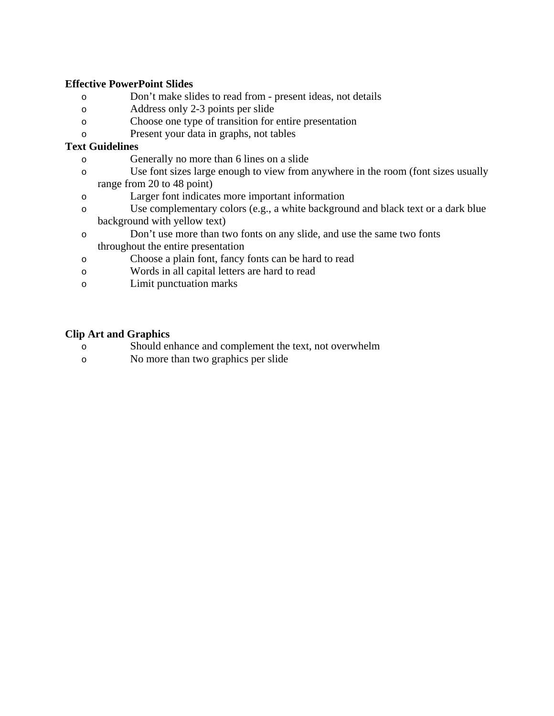## **Effective PowerPoint Slides**

- o Don't make slides to read from present ideas, not details
- o Address only 2-3 points per slide
- o Choose one type of transition for entire presentation
- o Present your data in graphs, not tables

## **Text Guidelines**

- o Generally no more than 6 lines on a slide
- o Use font sizes large enough to view from anywhere in the room (font sizes usually range from 20 to 48 point)
- o Larger font indicates more important information
- o Use complementary colors (e.g., a white background and black text or a dark blue background with yellow text)
- o Don't use more than two fonts on any slide, and use the same two fonts throughout the entire presentation
- o Choose a plain font, fancy fonts can be hard to read
- o Words in all capital letters are hard to read
- o Limit punctuation marks

## **Clip Art and Graphics**

- o Should enhance and complement the text, not overwhelm
- o No more than two graphics per slide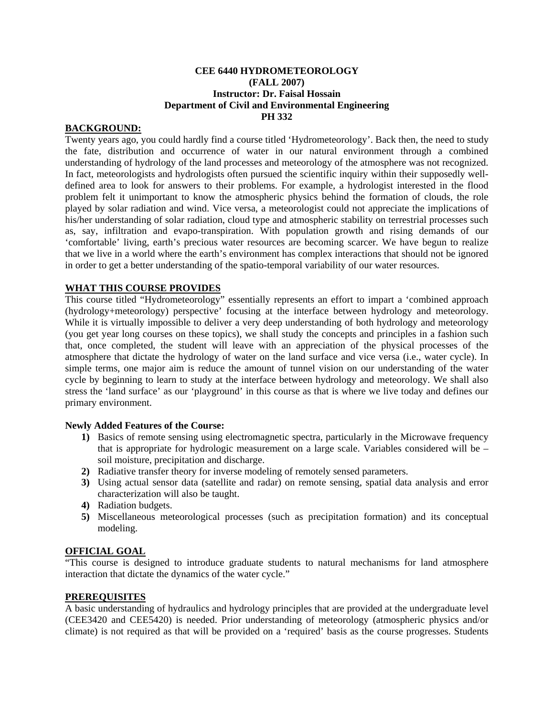#### **CEE 6440 HYDROMETEOROLOGY (FALL 2007) Instructor: Dr. Faisal Hossain Department of Civil and Environmental Engineering PH 332**

#### **BACKGROUND:**

Twenty years ago, you could hardly find a course titled 'Hydrometeorology'. Back then, the need to study the fate, distribution and occurrence of water in our natural environment through a combined understanding of hydrology of the land processes and meteorology of the atmosphere was not recognized. In fact, meteorologists and hydrologists often pursued the scientific inquiry within their supposedly welldefined area to look for answers to their problems. For example, a hydrologist interested in the flood problem felt it unimportant to know the atmospheric physics behind the formation of clouds, the role played by solar radiation and wind. Vice versa, a meteorologist could not appreciate the implications of his/her understanding of solar radiation, cloud type and atmospheric stability on terrestrial processes such as, say, infiltration and evapo-transpiration. With population growth and rising demands of our 'comfortable' living, earth's precious water resources are becoming scarcer. We have begun to realize that we live in a world where the earth's environment has complex interactions that should not be ignored in order to get a better understanding of the spatio-temporal variability of our water resources.

#### **WHAT THIS COURSE PROVIDES**

This course titled "Hydrometeorology" essentially represents an effort to impart a 'combined approach (hydrology+meteorology) perspective' focusing at the interface between hydrology and meteorology. While it is virtually impossible to deliver a very deep understanding of both hydrology and meteorology (you get year long courses on these topics), we shall study the concepts and principles in a fashion such that, once completed, the student will leave with an appreciation of the physical processes of the atmosphere that dictate the hydrology of water on the land surface and vice versa (i.e., water cycle). In simple terms, one major aim is reduce the amount of tunnel vision on our understanding of the water cycle by beginning to learn to study at the interface between hydrology and meteorology. We shall also stress the 'land surface' as our 'playground' in this course as that is where we live today and defines our primary environment.

#### **Newly Added Features of the Course:**

- **1)** Basics of remote sensing using electromagnetic spectra, particularly in the Microwave frequency that is appropriate for hydrologic measurement on a large scale. Variables considered will be – soil moisture, precipitation and discharge.
- **2)** Radiative transfer theory for inverse modeling of remotely sensed parameters.
- **3)** Using actual sensor data (satellite and radar) on remote sensing, spatial data analysis and error characterization will also be taught.
- **4)** Radiation budgets.
- **5)** Miscellaneous meteorological processes (such as precipitation formation) and its conceptual modeling.

#### **OFFICIAL GOAL**

"This course is designed to introduce graduate students to natural mechanisms for land atmosphere interaction that dictate the dynamics of the water cycle."

#### **PREREQUISITES**

A basic understanding of hydraulics and hydrology principles that are provided at the undergraduate level (CEE3420 and CEE5420) is needed. Prior understanding of meteorology (atmospheric physics and/or climate) is not required as that will be provided on a 'required' basis as the course progresses. Students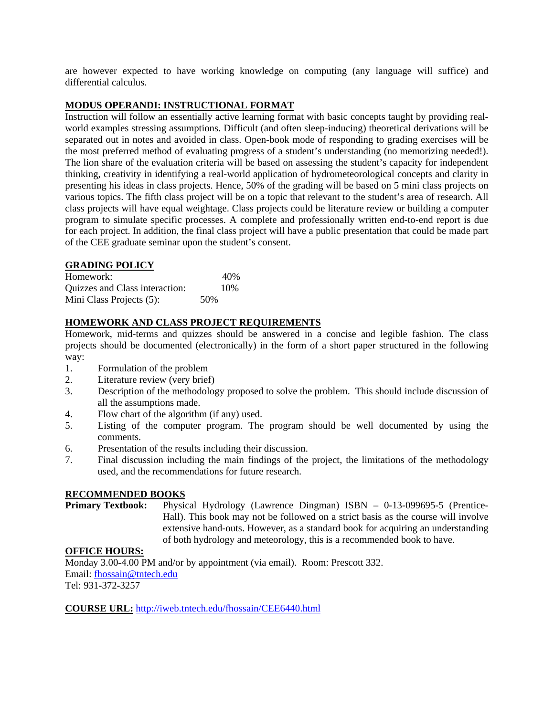are however expected to have working knowledge on computing (any language will suffice) and differential calculus.

## **MODUS OPERANDI: INSTRUCTIONAL FORMAT**

Instruction will follow an essentially active learning format with basic concepts taught by providing realworld examples stressing assumptions. Difficult (and often sleep-inducing) theoretical derivations will be separated out in notes and avoided in class. Open-book mode of responding to grading exercises will be the most preferred method of evaluating progress of a student's understanding (no memorizing needed!). The lion share of the evaluation criteria will be based on assessing the student's capacity for independent thinking, creativity in identifying a real-world application of hydrometeorological concepts and clarity in presenting his ideas in class projects. Hence, 50% of the grading will be based on 5 mini class projects on various topics. The fifth class project will be on a topic that relevant to the student's area of research. All class projects will have equal weightage. Class projects could be literature review or building a computer program to simulate specific processes. A complete and professionally written end-to-end report is due for each project. In addition, the final class project will have a public presentation that could be made part of the CEE graduate seminar upon the student's consent.

#### **GRADING POLICY**

| Homework:                      | 40% |
|--------------------------------|-----|
| Quizzes and Class interaction: | 10% |
| Mini Class Projects (5):       | 50% |

### **HOMEWORK AND CLASS PROJECT REQUIREMENTS**

Homework, mid-terms and quizzes should be answered in a concise and legible fashion. The class projects should be documented (electronically) in the form of a short paper structured in the following way:

- 1. Formulation of the problem
- 2. Literature review (very brief)
- 3. Description of the methodology proposed to solve the problem. This should include discussion of all the assumptions made.
- 4. Flow chart of the algorithm (if any) used.
- 5. Listing of the computer program. The program should be well documented by using the comments.
- 6. Presentation of the results including their discussion.
- 7. Final discussion including the main findings of the project, the limitations of the methodology used, and the recommendations for future research.

#### **RECOMMENDED BOOKS**

**Primary Textbook:** Physical Hydrology (Lawrence Dingman) ISBN – 0-13-099695-5 (Prentice-Hall). This book may not be followed on a strict basis as the course will involve extensive hand-outs. However, as a standard book for acquiring an understanding of both hydrology and meteorology, this is a recommended book to have.

#### **OFFICE HOURS:**

Monday 3.00-4.00 PM and/or by appointment (via email). Room: Prescott 332. Email: fhossain@tntech.edu Tel: 931-372-3257

**COURSE URL:** http://iweb.tntech.edu/fhossain/CEE6440.html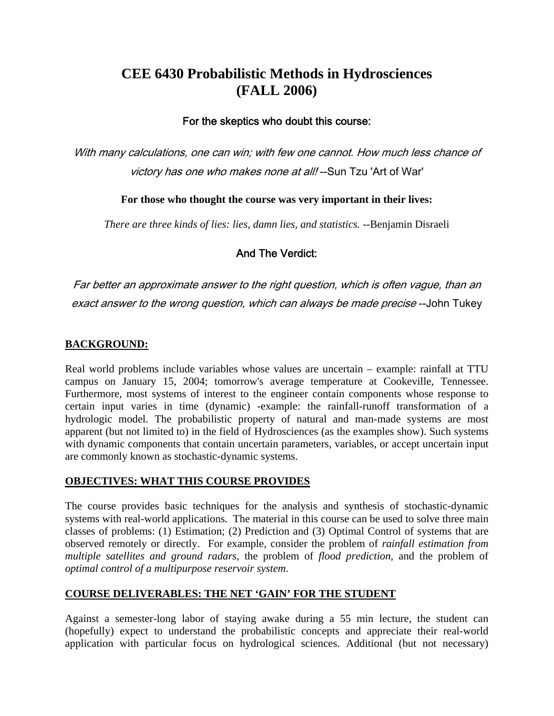# **CEE 6430 Probabilistic Methods in Hydrosciences (FALL 2006)**

## For the skeptics who doubt this course:

With many calculations, one can win; with few one cannot. How much less chance of victory has one who makes none at all! --Sun Tzu 'Art of War'

**For those who thought the course was very important in their lives:** 

*There are three kinds of lies: lies, damn lies, and statistics.* --Benjamin Disraeli

## And The Verdict:

Far better an approximate answer to the right question, which is often vague, than an exact answer to the wrong question, which can always be made precise --John Tukey

## **BACKGROUND:**

Real world problems include variables whose values are uncertain – example: rainfall at TTU campus on January 15, 2004; tomorrow's average temperature at Cookeville, Tennessee. Furthermore, most systems of interest to the engineer contain components whose response to certain input varies in time (dynamic) -example: the rainfall-runoff transformation of a hydrologic model. The probabilistic property of natural and man-made systems are most apparent (but not limited to) in the field of Hydrosciences (as the examples show). Such systems with dynamic components that contain uncertain parameters, variables, or accept uncertain input are commonly known as stochastic-dynamic systems.

## **OBJECTIVES: WHAT THIS COURSE PROVIDES**

The course provides basic techniques for the analysis and synthesis of stochastic-dynamic systems with real-world applications. The material in this course can be used to solve three main classes of problems: (1) Estimation; (2) Prediction and (3) Optimal Control of systems that are observed remotely or directly. For example, consider the problem of *rainfall estimation from multiple satellites and ground radars*, the problem of *flood prediction*, and the problem of *optimal control of a multipurpose reservoir system*.

## **COURSE DELIVERABLES: THE NET 'GAIN' FOR THE STUDENT**

Against a semester-long labor of staying awake during a 55 min lecture, the student can (hopefully) expect to understand the probabilistic concepts and appreciate their real-world application with particular focus on hydrological sciences. Additional (but not necessary)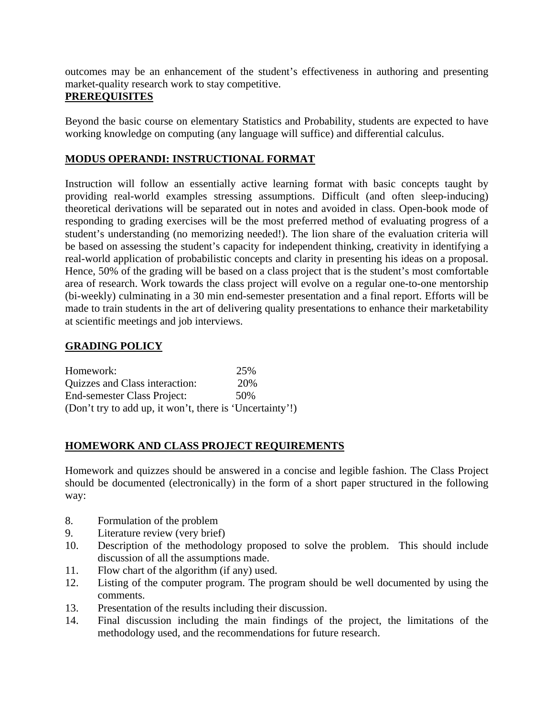outcomes may be an enhancement of the student's effectiveness in authoring and presenting market-quality research work to stay competitive.

## **PREREQUISITES**

Beyond the basic course on elementary Statistics and Probability, students are expected to have working knowledge on computing (any language will suffice) and differential calculus.

## **MODUS OPERANDI: INSTRUCTIONAL FORMAT**

Instruction will follow an essentially active learning format with basic concepts taught by providing real-world examples stressing assumptions. Difficult (and often sleep-inducing) theoretical derivations will be separated out in notes and avoided in class. Open-book mode of responding to grading exercises will be the most preferred method of evaluating progress of a student's understanding (no memorizing needed!). The lion share of the evaluation criteria will be based on assessing the student's capacity for independent thinking, creativity in identifying a real-world application of probabilistic concepts and clarity in presenting his ideas on a proposal. Hence, 50% of the grading will be based on a class project that is the student's most comfortable area of research. Work towards the class project will evolve on a regular one-to-one mentorship (bi-weekly) culminating in a 30 min end-semester presentation and a final report. Efforts will be made to train students in the art of delivering quality presentations to enhance their marketability at scientific meetings and job interviews.

## **GRADING POLICY**

| Homework:                                                | 25% |
|----------------------------------------------------------|-----|
| Quizzes and Class interaction:                           | 20% |
| End-semester Class Project:                              | 50% |
| (Don't try to add up, it won't, there is 'Uncertainty'!) |     |

## **HOMEWORK AND CLASS PROJECT REQUIREMENTS**

Homework and quizzes should be answered in a concise and legible fashion. The Class Project should be documented (electronically) in the form of a short paper structured in the following way:

- 8. Formulation of the problem
- 9. Literature review (very brief)
- 10. Description of the methodology proposed to solve the problem. This should include discussion of all the assumptions made.
- 11. Flow chart of the algorithm (if any) used.
- 12. Listing of the computer program. The program should be well documented by using the comments.
- 13. Presentation of the results including their discussion.
- 14. Final discussion including the main findings of the project, the limitations of the methodology used, and the recommendations for future research.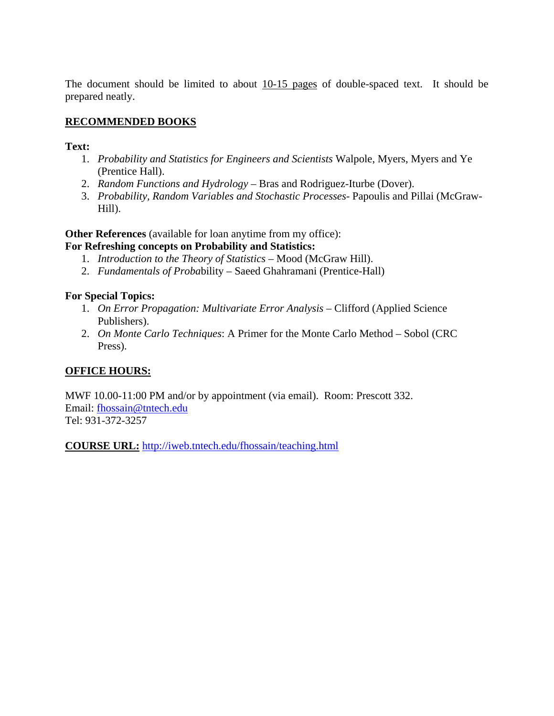The document should be limited to about 10-15 pages of double-spaced text. It should be prepared neatly.

## **RECOMMENDED BOOKS**

**Text:**

- 1. *Probability and Statistics for Engineers and Scientists* Walpole, Myers, Myers and Ye (Prentice Hall).
- 2. *Random Functions and Hydrology* Bras and Rodriguez-Iturbe (Dover).
- 3. *Probability, Random Variables and Stochastic Processes* Papoulis and Pillai (McGraw-Hill).

**Other References** (available for loan anytime from my office):

## **For Refreshing concepts on Probability and Statistics:**

- 1. *Introduction to the Theory of Statistics* Mood (McGraw Hill).
- 2. *Fundamentals of Proba*bility Saeed Ghahramani (Prentice-Hall)

## **For Special Topics:**

- 1. *On Error Propagation: Multivariate Error Analysis* Clifford (Applied Science Publishers).
- 2. *On Monte Carlo Techniques*: A Primer for the Monte Carlo Method Sobol (CRC Press).

## **OFFICE HOURS:**

MWF 10.00-11:00 PM and/or by appointment (via email). Room: Prescott 332. Email: fhossain@tntech.edu Tel: 931-372-3257

**COURSE URL:** http://iweb.tntech.edu/fhossain/teaching.html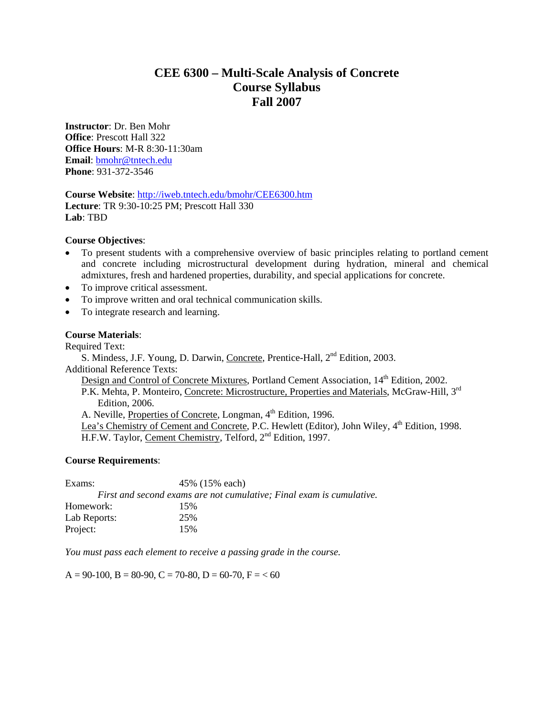## **CEE 6300 – Multi-Scale Analysis of Concrete Course Syllabus Fall 2007**

**Instructor**: Dr. Ben Mohr **Office**: Prescott Hall 322 **Office Hours**: M-R 8:30-11:30am **Email**: bmohr@tntech.edu **Phone**: 931-372-3546

**Course Website**: http://iweb.tntech.edu/bmohr/CEE6300.htm **Lecture**: TR 9:30-10:25 PM; Prescott Hall 330 **Lab**: TBD

#### **Course Objectives**:

- To present students with a comprehensive overview of basic principles relating to portland cement and concrete including microstructural development during hydration, mineral and chemical admixtures, fresh and hardened properties, durability, and special applications for concrete.
- To improve critical assessment.
- To improve written and oral technical communication skills.
- To integrate research and learning.

#### **Course Materials**:

Required Text:

S. Mindess, J.F. Young, D. Darwin, Concrete, Prentice-Hall, 2<sup>nd</sup> Edition, 2003. Additional Reference Texts:

Design and Control of Concrete Mixtures, Portland Cement Association, 14<sup>th</sup> Edition, 2002.

P.K. Mehta, P. Monteiro, Concrete: Microstructure, Properties and Materials, McGraw-Hill, 3<sup>rd</sup> Edition, 2006.

A. Neville, Properties of Concrete, Longman, 4<sup>th</sup> Edition, 1996.

Lea's Chemistry of Cement and Concrete, P.C. Hewlett (Editor), John Wiley, 4<sup>th</sup> Edition, 1998. H.F.W. Taylor, Cement Chemistry, Telford, 2<sup>nd</sup> Edition, 1997.

#### **Course Requirements**:

| Exams:       | 45% (15% each)                                                       |  |  |
|--------------|----------------------------------------------------------------------|--|--|
|              | First and second exams are not cumulative; Final exam is cumulative. |  |  |
| Homework:    | 15%                                                                  |  |  |
| Lab Reports: | 25%                                                                  |  |  |
| Project:     | 15%                                                                  |  |  |

*You must pass each element to receive a passing grade in the course.* 

 $A = 90-100$ ,  $B = 80-90$ ,  $C = 70-80$ ,  $D = 60-70$ ,  $F = < 60$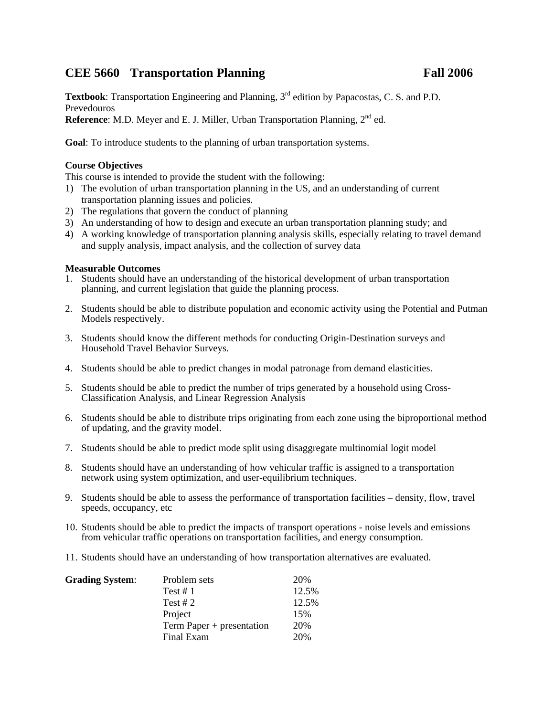## **CEE 5660 Transportation Planning Fall 2006**

**Textbook**: Transportation Engineering and Planning, 3<sup>rd</sup> edition by Papacostas, C. S. and P.D. Prevedouros

**Reference**: M.D. Meyer and E. J. Miller, Urban Transportation Planning, 2<sup>nd</sup> ed.

**Goal**: To introduce students to the planning of urban transportation systems.

### **Course Objectives**

This course is intended to provide the student with the following:

- 1) The evolution of urban transportation planning in the US, and an understanding of current transportation planning issues and policies.
- 2) The regulations that govern the conduct of planning
- 3) An understanding of how to design and execute an urban transportation planning study; and
- 4) A working knowledge of transportation planning analysis skills, especially relating to travel demand and supply analysis, impact analysis, and the collection of survey data

### **Measurable Outcomes**

- 1. Students should have an understanding of the historical development of urban transportation planning, and current legislation that guide the planning process.
- 2. Students should be able to distribute population and economic activity using the Potential and Putman Models respectively.
- 3. Students should know the different methods for conducting Origin-Destination surveys and Household Travel Behavior Surveys.
- 4. Students should be able to predict changes in modal patronage from demand elasticities.
- 5. Students should be able to predict the number of trips generated by a household using Cross-Classification Analysis, and Linear Regression Analysis
- 6. Students should be able to distribute trips originating from each zone using the biproportional method of updating, and the gravity model.
- 7. Students should be able to predict mode split using disaggregate multinomial logit model
- 8. Students should have an understanding of how vehicular traffic is assigned to a transportation network using system optimization, and user-equilibrium techniques.
- 9. Students should be able to assess the performance of transportation facilities density, flow, travel speeds, occupancy, etc
- 10. Students should be able to predict the impacts of transport operations noise levels and emissions from vehicular traffic operations on transportation facilities, and energy consumption.
- 11. Students should have an understanding of how transportation alternatives are evaluated.

| <b>Grading System:</b> | Problem sets              | 20%   |
|------------------------|---------------------------|-------|
|                        | Test # $1$                | 12.5% |
|                        | Test # $2$                | 12.5% |
|                        | Project                   | 15%   |
|                        | Term Paper + presentation | 20%   |
|                        | Final Exam                | 20%   |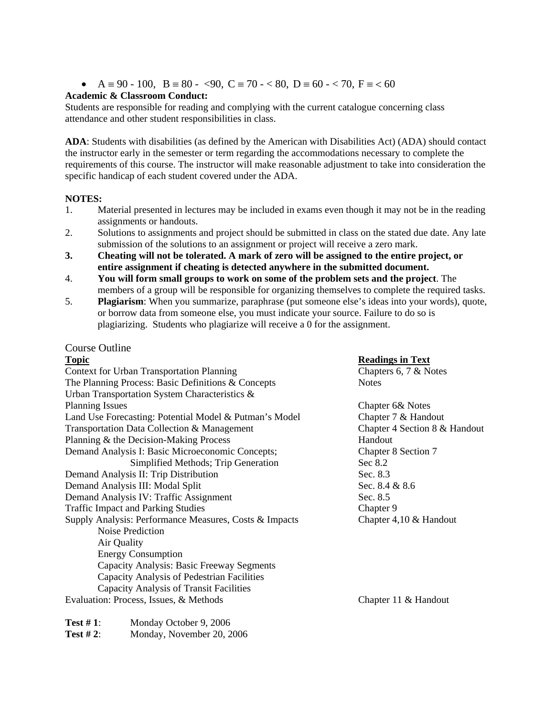$A \equiv 90 - 100$ ,  $B \equiv 80 - 90$ ,  $C \equiv 70 - 80$ ,  $D \equiv 60 - 70$ ,  $F \equiv 60$ 

#### **Academic & Classroom Conduct:**

Students are responsible for reading and complying with the current catalogue concerning class attendance and other student responsibilities in class.

**ADA**: Students with disabilities (as defined by the American with Disabilities Act) (ADA) should contact the instructor early in the semester or term regarding the accommodations necessary to complete the requirements of this course. The instructor will make reasonable adjustment to take into consideration the specific handicap of each student covered under the ADA.

#### **NOTES:**

- 1. Material presented in lectures may be included in exams even though it may not be in the reading assignments or handouts.
- 2. Solutions to assignments and project should be submitted in class on the stated due date. Any late submission of the solutions to an assignment or project will receive a zero mark.
- **3. Cheating will not be tolerated. A mark of zero will be assigned to the entire project, or entire assignment if cheating is detected anywhere in the submitted document.**
- 4. **You will form small groups to work on some of the problem sets and the project**. The members of a group will be responsible for organizing themselves to complete the required tasks.
- 5. **Plagiarism**: When you summarize, paraphrase (put someone else's ideas into your words), quote, or borrow data from someone else, you must indicate your source. Failure to do so is plagiarizing. Students who plagiarize will receive a 0 for the assignment.

### Course Outline

| <b>Topic</b>                                           | <b>Readings in Text</b>       |
|--------------------------------------------------------|-------------------------------|
| <b>Context for Urban Transportation Planning</b>       | Chapters 6, 7 $&$ Notes       |
| The Planning Process: Basic Definitions & Concepts     | <b>Notes</b>                  |
| Urban Transportation System Characteristics &          |                               |
| <b>Planning Issues</b>                                 | Chapter 6& Notes              |
| Land Use Forecasting: Potential Model & Putman's Model | Chapter 7 & Handout           |
| Transportation Data Collection & Management            | Chapter 4 Section 8 & Handout |
| Planning & the Decision-Making Process                 | Handout                       |
| Demand Analysis I: Basic Microeconomic Concepts;       | Chapter 8 Section 7           |
| Simplified Methods; Trip Generation                    | Sec $8.2$                     |
| Demand Analysis II: Trip Distribution                  | Sec. 8.3                      |
| Demand Analysis III: Modal Split                       | Sec. 8.4 & 8.6                |
| Demand Analysis IV: Traffic Assignment                 | Sec. 8.5                      |
| <b>Traffic Impact and Parking Studies</b>              | Chapter 9                     |
| Supply Analysis: Performance Measures, Costs & Impacts | Chapter $4,10 \&$ Handout     |
| Noise Prediction                                       |                               |
| Air Quality                                            |                               |
| <b>Energy Consumption</b>                              |                               |
| Capacity Analysis: Basic Freeway Segments              |                               |
| Capacity Analysis of Pedestrian Facilities             |                               |
| Capacity Analysis of Transit Facilities                |                               |
| Evaluation: Process, Issues, & Methods                 | Chapter 11 & Handout          |

| Test #1:    | Monday October 9, 2006    |
|-------------|---------------------------|
| Test $#2$ : | Monday, November 20, 2006 |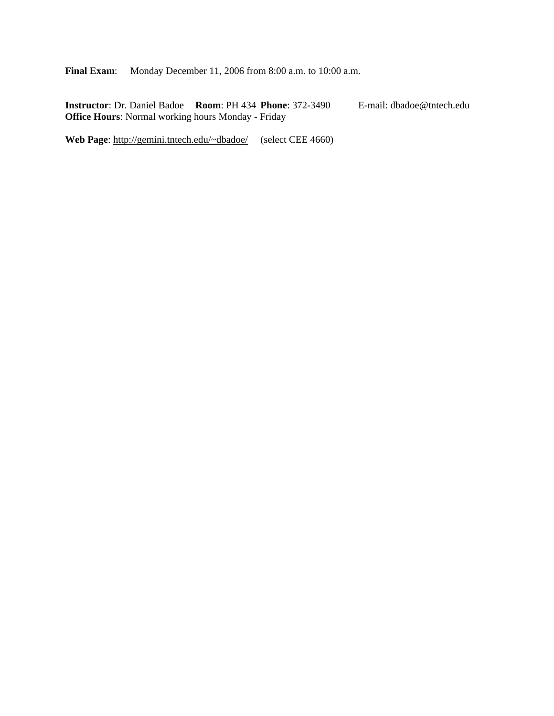**Final Exam:** Monday December 11, 2006 from 8:00 a.m. to 10:00 a.m.

**Instructor**: Dr. Daniel Badoe **Room**: PH 434 **Phone**: 372-3490 E-mail: dbadoe@tntech.edu **Office Hours**: Normal working hours Monday - Friday

Web Page: http://gemini.tntech.edu/~dbadoe/ (select CEE 4660)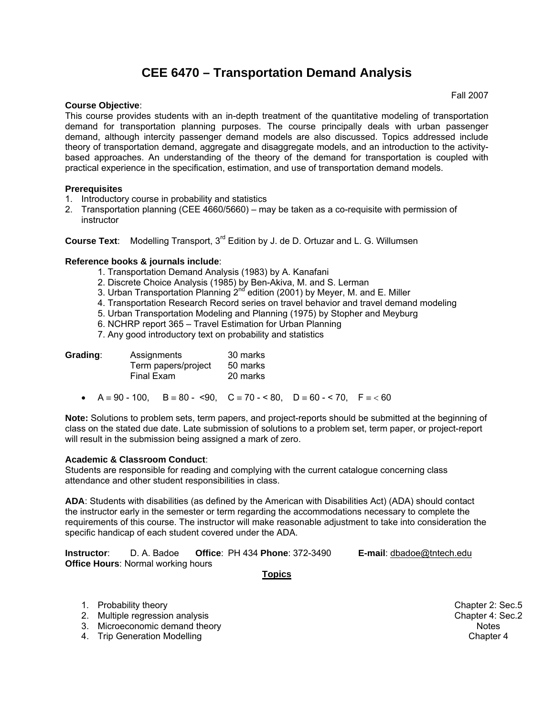# **CEE 6470 – Transportation Demand Analysis**

#### **Course Objective**:

Fall 2007

This course provides students with an in-depth treatment of the quantitative modeling of transportation demand for transportation planning purposes. The course principally deals with urban passenger demand, although intercity passenger demand models are also discussed. Topics addressed include theory of transportation demand, aggregate and disaggregate models, and an introduction to the activitybased approaches. An understanding of the theory of the demand for transportation is coupled with practical experience in the specification, estimation, and use of transportation demand models.

#### **Prerequisites**

- 1. Introductory course in probability and statistics
- 2. Transportation planning (CEE 4660/5660) may be taken as a co-requisite with permission of **instructor**

**Course Text:** Modelling Transport, 3<sup>rd</sup> Edition by J. de D. Ortuzar and L. G. Willumsen

#### **Reference books & journals include**:

- 1. Transportation Demand Analysis (1983) by A. Kanafani
- 2. Discrete Choice Analysis (1985) by Ben-Akiva, M. and S. Lerman
- 3. Urban Transportation Planning  $2^{nd}$  edition (2001) by Meyer, M. and E. Miller
- 4. Transportation Research Record series on travel behavior and travel demand modeling
- 5. Urban Transportation Modeling and Planning (1975) by Stopher and Meyburg
- 6. NCHRP report 365 Travel Estimation for Urban Planning

7. Any good introductory text on probability and statistics

| Grading: | Assignments<br>Term papers/project<br><b>Final Exam</b> | 30 marks<br>50 marks<br>20 marks |
|----------|---------------------------------------------------------|----------------------------------|
|          |                                                         |                                  |

•  $A = 90 - 100$ ,  $B = 80 - 90$ ,  $C = 70 - 80$ ,  $D = 60 - 70$ ,  $F = 60$ 

**Note:** Solutions to problem sets, term papers, and project-reports should be submitted at the beginning of class on the stated due date. Late submission of solutions to a problem set, term paper, or project-report will result in the submission being assigned a mark of zero.

#### **Academic & Classroom Conduct**:

Students are responsible for reading and complying with the current catalogue concerning class attendance and other student responsibilities in class.

**ADA**: Students with disabilities (as defined by the American with Disabilities Act) (ADA) should contact the instructor early in the semester or term regarding the accommodations necessary to complete the requirements of this course. The instructor will make reasonable adjustment to take into consideration the specific handicap of each student covered under the ADA.

| Instructor: | D. A. Badoe                               | <b>Office: PH 434 Phone: 372-3490</b> | <b>E-mail:</b> dbadoe@tntech.edu |
|-------------|-------------------------------------------|---------------------------------------|----------------------------------|
|             | <b>Office Hours: Normal working hours</b> |                                       |                                  |

**Topics** 

- 1. Probability theory Chapter 2: Sec.5
- 2. Multiple regression analysis **Chapter 4: Sec.2** Chapter 4: Sec.2
- 3. Microeconomic demand theory Notes
- 4. Trip Generation Modelling Chapter 4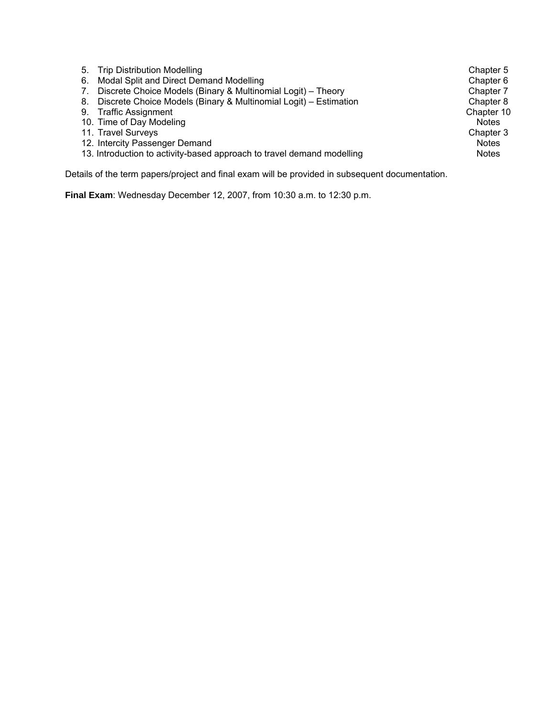| Trip Distribution Modelling<br>5.                                      | Chapter 5    |
|------------------------------------------------------------------------|--------------|
| Modal Split and Direct Demand Modelling<br>6.                          | Chapter 6    |
| Discrete Choice Models (Binary & Multinomial Logit) - Theory<br>7.     | Chapter 7    |
| Discrete Choice Models (Binary & Multinomial Logit) - Estimation<br>8. | Chapter 8    |
| <b>Traffic Assignment</b><br>9.                                        | Chapter 10   |
| 10. Time of Day Modeling                                               | <b>Notes</b> |
| 11. Travel Surveys                                                     | Chapter 3    |
| 12. Intercity Passenger Demand                                         | <b>Notes</b> |
| 13. Introduction to activity-based approach to travel demand modelling | <b>Notes</b> |
|                                                                        |              |

Details of the term papers/project and final exam will be provided in subsequent documentation.

**Final Exam**: Wednesday December 12, 2007, from 10:30 a.m. to 12:30 p.m.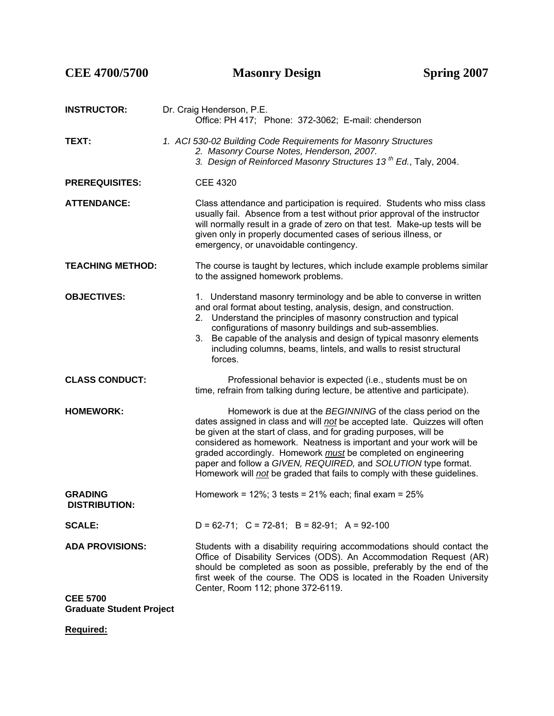| CEE 4700/5700                                      | <b>Masonry Design</b>                                                                                                                                                                                                                                                                                                                                                                                                                                                                             | Spring 2007 |
|----------------------------------------------------|---------------------------------------------------------------------------------------------------------------------------------------------------------------------------------------------------------------------------------------------------------------------------------------------------------------------------------------------------------------------------------------------------------------------------------------------------------------------------------------------------|-------------|
| <b>INSTRUCTOR:</b>                                 | Dr. Craig Henderson, P.E.<br>Office: PH 417; Phone: 372-3062; E-mail: chenderson                                                                                                                                                                                                                                                                                                                                                                                                                  |             |
| TEXT:                                              | 1. ACI 530-02 Building Code Requirements for Masonry Structures<br>2. Masonry Course Notes, Henderson, 2007.<br>3. Design of Reinforced Masonry Structures 13 <sup>th</sup> Ed., Taly, 2004.                                                                                                                                                                                                                                                                                                      |             |
| <b>PREREQUISITES:</b>                              | <b>CEE 4320</b>                                                                                                                                                                                                                                                                                                                                                                                                                                                                                   |             |
| <b>ATTENDANCE:</b>                                 | Class attendance and participation is required. Students who miss class<br>usually fail. Absence from a test without prior approval of the instructor<br>will normally result in a grade of zero on that test. Make-up tests will be<br>given only in properly documented cases of serious illness, or<br>emergency, or unavoidable contingency.                                                                                                                                                  |             |
| <b>TEACHING METHOD:</b>                            | The course is taught by lectures, which include example problems similar<br>to the assigned homework problems.                                                                                                                                                                                                                                                                                                                                                                                    |             |
| <b>OBJECTIVES:</b>                                 | 1. Understand masonry terminology and be able to converse in written<br>and oral format about testing, analysis, design, and construction.<br>Understand the principles of masonry construction and typical<br>2.<br>configurations of masonry buildings and sub-assemblies.<br>Be capable of the analysis and design of typical masonry elements<br>3.<br>including columns, beams, lintels, and walls to resist structural<br>forces.                                                           |             |
| <b>CLASS CONDUCT:</b>                              | Professional behavior is expected (i.e., students must be on<br>time, refrain from talking during lecture, be attentive and participate).                                                                                                                                                                                                                                                                                                                                                         |             |
| <b>HOMEWORK:</b>                                   | Homework is due at the BEGINNING of the class period on the<br>dates assigned in class and will not be accepted late. Quizzes will often<br>be given at the start of class, and for grading purposes, will be<br>considered as homework. Neatness is important and your work will be<br>graded accordingly. Homework must be completed on engineering<br>paper and follow a GIVEN, REQUIRED, and SOLUTION type format.<br>Homework will not be graded that fails to comply with these guidelines. |             |
| <b>GRADING</b><br><b>DISTRIBUTION:</b>             | Homework = $12\%$ ; 3 tests = $21\%$ each; final exam = $25\%$                                                                                                                                                                                                                                                                                                                                                                                                                                    |             |
| <b>SCALE:</b>                                      | $D = 62-71$ ; $C = 72-81$ ; $B = 82-91$ ; $A = 92-100$                                                                                                                                                                                                                                                                                                                                                                                                                                            |             |
| <b>ADA PROVISIONS:</b>                             | Students with a disability requiring accommodations should contact the<br>Office of Disability Services (ODS). An Accommodation Request (AR)<br>should be completed as soon as possible, preferably by the end of the<br>first week of the course. The ODS is located in the Roaden University<br>Center, Room 112; phone 372-6119.                                                                                                                                                               |             |
| <b>CEE 5700</b><br><b>Graduate Student Project</b> |                                                                                                                                                                                                                                                                                                                                                                                                                                                                                                   |             |

**Required:**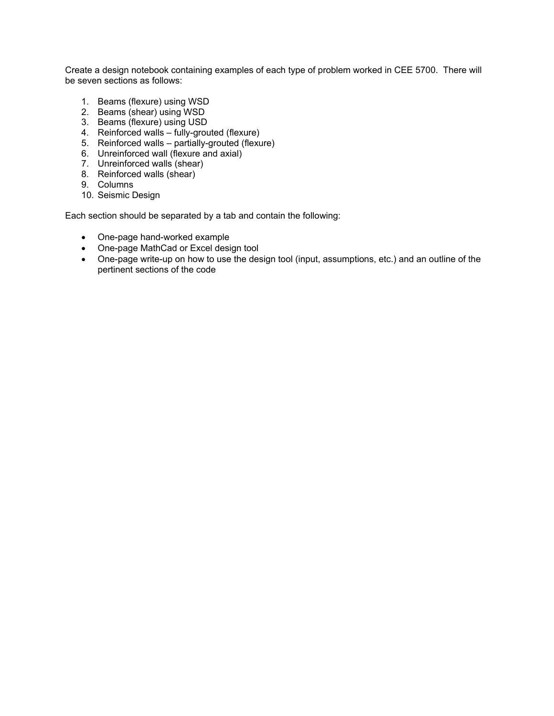Create a design notebook containing examples of each type of problem worked in CEE 5700. There will be seven sections as follows:

- 1. Beams (flexure) using WSD
- 2. Beams (shear) using WSD
- 3. Beams (flexure) using USD
- 4. Reinforced walls fully-grouted (flexure)
- 5. Reinforced walls partially-grouted (flexure)
- 6. Unreinforced wall (flexure and axial)
- 7. Unreinforced walls (shear)
- 8. Reinforced walls (shear)
- 9. Columns
- 10. Seismic Design

Each section should be separated by a tab and contain the following:

- One-page hand-worked example
- One-page MathCad or Excel design tool
- One-page write-up on how to use the design tool (input, assumptions, etc.) and an outline of the pertinent sections of the code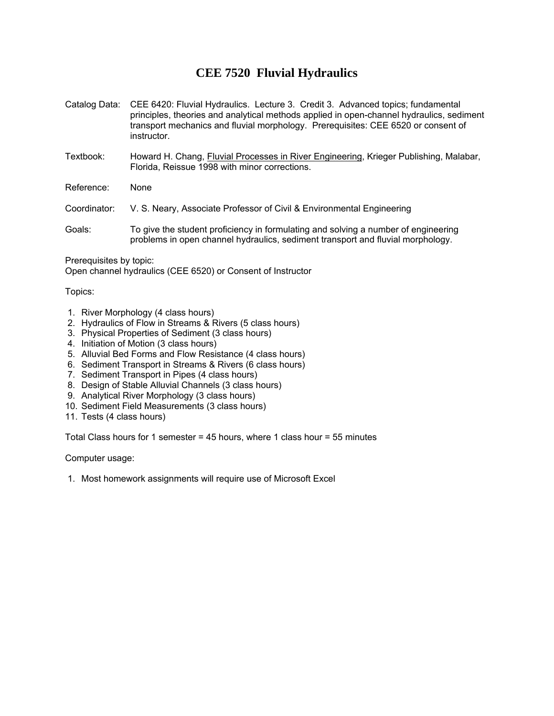## **CEE 7520 Fluvial Hydraulics**

- Catalog Data: CEE 6420: Fluvial Hydraulics. Lecture 3. Credit 3. Advanced topics; fundamental principles, theories and analytical methods applied in open-channel hydraulics, sediment transport mechanics and fluvial morphology. Prerequisites: CEE 6520 or consent of instructor.
- Textbook: Howard H. Chang, Fluvial Processes in River Engineering, Krieger Publishing, Malabar, Florida, Reissue 1998 with minor corrections.
- Reference: None
- Coordinator: V. S. Neary, Associate Professor of Civil & Environmental Engineering
- Goals: To give the student proficiency in formulating and solving a number of engineering problems in open channel hydraulics, sediment transport and fluvial morphology.

Prerequisites by topic:

Open channel hydraulics (CEE 6520) or Consent of Instructor

#### Topics:

- 1. River Morphology (4 class hours)
- 2. Hydraulics of Flow in Streams & Rivers (5 class hours)
- 3. Physical Properties of Sediment (3 class hours)
- 4. Initiation of Motion (3 class hours)
- 5. Alluvial Bed Forms and Flow Resistance (4 class hours)
- 6. Sediment Transport in Streams & Rivers (6 class hours)
- 7. Sediment Transport in Pipes (4 class hours)
- 8. Design of Stable Alluvial Channels (3 class hours)
- 9. Analytical River Morphology (3 class hours)
- 10. Sediment Field Measurements (3 class hours)
- 11. Tests (4 class hours)

Total Class hours for 1 semester = 45 hours, where 1 class hour = 55 minutes

Computer usage:

1. Most homework assignments will require use of Microsoft Excel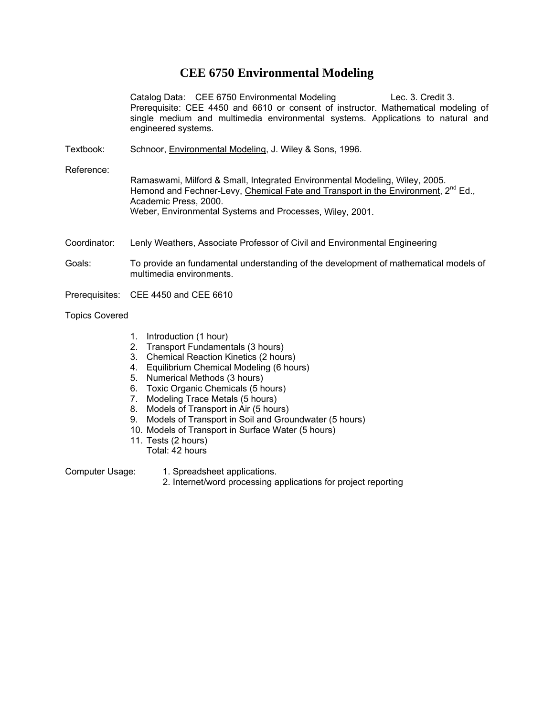## **CEE 6750 Environmental Modeling**

Catalog Data: CEE 6750 Environmental Modeling Lec. 3. Credit 3. Prerequisite: CEE 4450 and 6610 or consent of instructor. Mathematical modeling of single medium and multimedia environmental systems. Applications to natural and engineered systems.

Textbook: Schnoor, Environmental Modeling, J. Wiley & Sons, 1996.

Reference:

Ramaswami, Milford & Small, Integrated Environmental Modeling, Wiley, 2005. Hemond and Fechner-Levy, Chemical Fate and Transport in the Environment, 2<sup>nd</sup> Ed., Academic Press, 2000. Weber, Environmental Systems and Processes, Wiley, 2001.

- Coordinator: Lenly Weathers, Associate Professor of Civil and Environmental Engineering
- Goals: To provide an fundamental understanding of the development of mathematical models of multimedia environments.
- Prerequisites: CEE 4450 and CEE 6610

#### Topics Covered

- 1. Introduction (1 hour)
- 2. Transport Fundamentals (3 hours)
- 3. Chemical Reaction Kinetics (2 hours)
- 4. Equilibrium Chemical Modeling (6 hours)
- 5. Numerical Methods (3 hours)
- 6. Toxic Organic Chemicals (5 hours)
- 7. Modeling Trace Metals (5 hours)
- 8. Models of Transport in Air (5 hours)
- 9. Models of Transport in Soil and Groundwater (5 hours)
- 10. Models of Transport in Surface Water (5 hours)
- 11. Tests (2 hours)
	- Total: 42 hours

- Computer Usage: 1. Spreadsheet applications.
	- 2. Internet/word processing applications for project reporting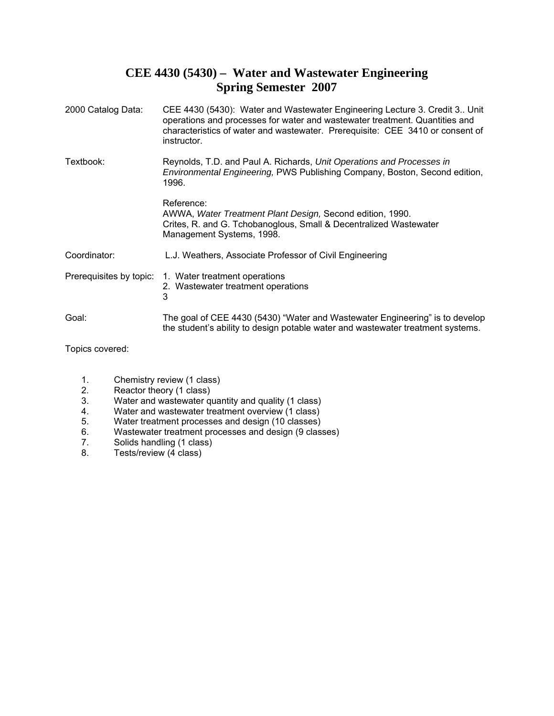# **CEE 4430 (5430) – Water and Wastewater Engineering Spring Semester 2007**

| 2000 Catalog Data:      | CEE 4430 (5430): Water and Wastewater Engineering Lecture 3. Credit 3 Unit<br>operations and processes for water and wastewater treatment. Quantities and<br>characteristics of water and wastewater. Prerequisite: CEE 3410 or consent of<br>instructor. |
|-------------------------|-----------------------------------------------------------------------------------------------------------------------------------------------------------------------------------------------------------------------------------------------------------|
| Textbook:               | Reynolds, T.D. and Paul A. Richards, Unit Operations and Processes in<br>Environmental Engineering, PWS Publishing Company, Boston, Second edition,<br>1996.                                                                                              |
|                         | Reference:<br>AWWA, Water Treatment Plant Design, Second edition, 1990.<br>Crites, R. and G. Tchobanoglous, Small & Decentralized Wastewater<br>Management Systems, 1998.                                                                                 |
| Coordinator:            | L.J. Weathers, Associate Professor of Civil Engineering                                                                                                                                                                                                   |
| Prerequisites by topic: | 1. Water treatment operations<br>2. Wastewater treatment operations<br>3                                                                                                                                                                                  |
| Goal:                   | The goal of CEE 4430 (5430) "Water and Wastewater Engineering" is to develop<br>the student's ability to design potable water and wastewater treatment systems.                                                                                           |

Topics covered:

- 1. Chemistry review (1 class)
- 2. Reactor theory (1 class)<br>3. Water and wastewater qu
- Water and wastewater quantity and quality (1 class)
- 4. Water and wastewater treatment overview (1 class)
- 5. Water treatment processes and design (10 classes)<br>6. Wastewater treatment processes and design (9 class
- 6. Wastewater treatment processes and design (9 classes)<br>
7. Solids handling (1 class)
- 7. Solids handling (1 class)<br>8. Tests/review (4 class)
- Tests/review (4 class)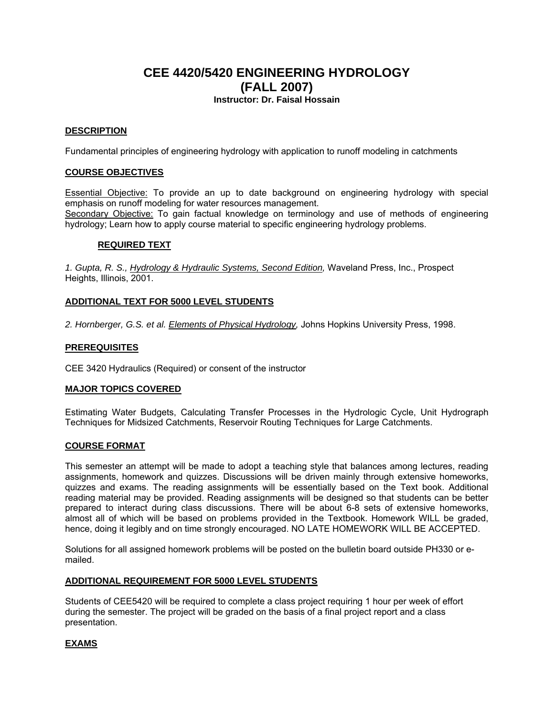## **CEE 4420/5420 ENGINEERING HYDROLOGY (FALL 2007) Instructor: Dr. Faisal Hossain**

#### **DESCRIPTION**

Fundamental principles of engineering hydrology with application to runoff modeling in catchments

#### **COURSE OBJECTIVES**

Essential Objective: To provide an up to date background on engineering hydrology with special emphasis on runoff modeling for water resources management. Secondary Objective: To gain factual knowledge on terminology and use of methods of engineering hydrology; Learn how to apply course material to specific engineering hydrology problems.

#### **REQUIRED TEXT**

*1. Gupta, R. S., Hydrology & Hydraulic Systems, Second Edition,* Waveland Press, Inc., Prospect Heights, Illinois, 2001.

#### **ADDITIONAL TEXT FOR 5000 LEVEL STUDENTS**

*2. Hornberger, G.S. et al. Elements of Physical Hydrology,* Johns Hopkins University Press, 1998.

#### **PREREQUISITES**

CEE 3420 Hydraulics (Required) or consent of the instructor

#### **MAJOR TOPICS COVERED**

Estimating Water Budgets, Calculating Transfer Processes in the Hydrologic Cycle, Unit Hydrograph Techniques for Midsized Catchments, Reservoir Routing Techniques for Large Catchments.

#### **COURSE FORMAT**

This semester an attempt will be made to adopt a teaching style that balances among lectures, reading assignments, homework and quizzes. Discussions will be driven mainly through extensive homeworks, quizzes and exams. The reading assignments will be essentially based on the Text book. Additional reading material may be provided. Reading assignments will be designed so that students can be better prepared to interact during class discussions. There will be about 6-8 sets of extensive homeworks, almost all of which will be based on problems provided in the Textbook. Homework WILL be graded, hence, doing it legibly and on time strongly encouraged. NO LATE HOMEWORK WILL BE ACCEPTED.

Solutions for all assigned homework problems will be posted on the bulletin board outside PH330 or emailed.

#### **ADDITIONAL REQUIREMENT FOR 5000 LEVEL STUDENTS**

Students of CEE5420 will be required to complete a class project requiring 1 hour per week of effort during the semester. The project will be graded on the basis of a final project report and a class presentation.

#### **EXAMS**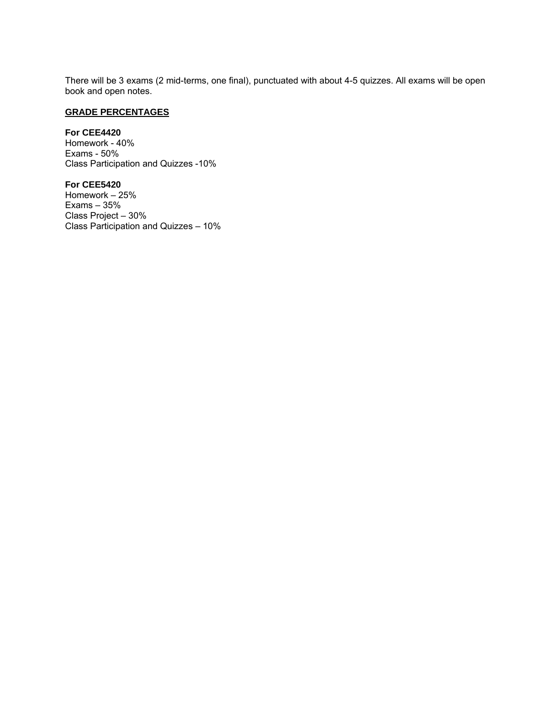There will be 3 exams (2 mid-terms, one final), punctuated with about 4-5 quizzes. All exams will be open book and open notes.

## **GRADE PERCENTAGES**

#### **For CEE4420**

Homework - 40% Exams - 50% Class Participation and Quizzes -10%

#### **For CEE5420**

Homework – 25% Exams – 35% Class Project – 30% Class Participation and Quizzes – 10%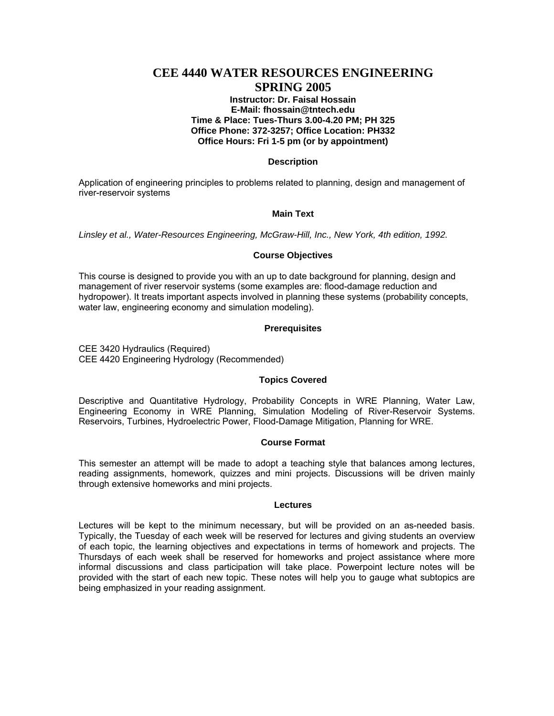## **CEE 4440 WATER RESOURCES ENGINEERING SPRING 2005**

#### **Instructor: Dr. Faisal Hossain E-Mail: fhossain@tntech.edu Time & Place: Tues-Thurs 3.00-4.20 PM; PH 325 Office Phone: 372-3257; Office Location: PH332 Office Hours: Fri 1-5 pm (or by appointment)**

#### **Description**

Application of engineering principles to problems related to planning, design and management of river-reservoir systems

#### **Main Text**

*Linsley et al., Water-Resources Engineering, McGraw-Hill, Inc., New York, 4th edition, 1992.*

#### **Course Objectives**

This course is designed to provide you with an up to date background for planning, design and management of river reservoir systems (some examples are: flood-damage reduction and hydropower). It treats important aspects involved in planning these systems (probability concepts, water law, engineering economy and simulation modeling).

#### **Prerequisites**

CEE 3420 Hydraulics (Required) CEE 4420 Engineering Hydrology (Recommended)

#### **Topics Covered**

Descriptive and Quantitative Hydrology, Probability Concepts in WRE Planning, Water Law, Engineering Economy in WRE Planning, Simulation Modeling of River-Reservoir Systems. Reservoirs, Turbines, Hydroelectric Power, Flood-Damage Mitigation, Planning for WRE.

#### **Course Format**

This semester an attempt will be made to adopt a teaching style that balances among lectures, reading assignments, homework, quizzes and mini projects. Discussions will be driven mainly through extensive homeworks and mini projects.

#### **Lectures**

Lectures will be kept to the minimum necessary, but will be provided on an as-needed basis. Typically, the Tuesday of each week will be reserved for lectures and giving students an overview of each topic, the learning objectives and expectations in terms of homework and projects. The Thursdays of each week shall be reserved for homeworks and project assistance where more informal discussions and class participation will take place. Powerpoint lecture notes will be provided with the start of each new topic. These notes will help you to gauge what subtopics are being emphasized in your reading assignment.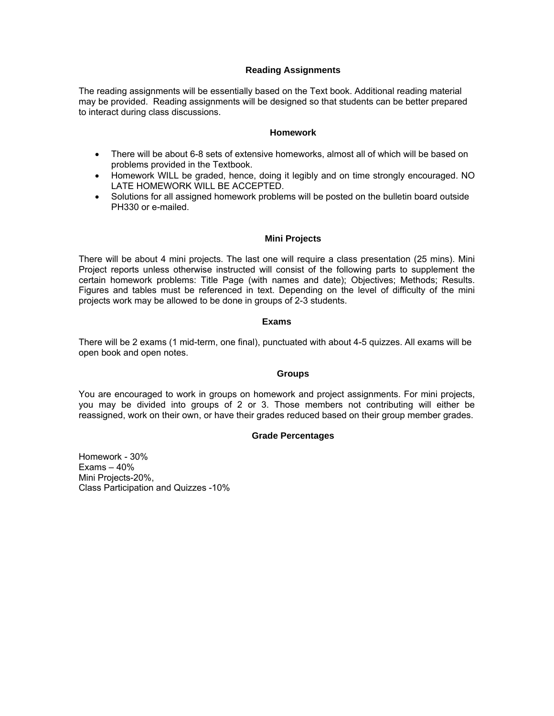#### **Reading Assignments**

The reading assignments will be essentially based on the Text book. Additional reading material may be provided. Reading assignments will be designed so that students can be better prepared to interact during class discussions.

#### **Homework**

- There will be about 6-8 sets of extensive homeworks, almost all of which will be based on problems provided in the Textbook.
- Homework WILL be graded, hence, doing it legibly and on time strongly encouraged. NO LATE HOMEWORK WILL BE ACCEPTED.
- Solutions for all assigned homework problems will be posted on the bulletin board outside PH330 or e-mailed.

#### **Mini Projects**

There will be about 4 mini projects. The last one will require a class presentation (25 mins). Mini Project reports unless otherwise instructed will consist of the following parts to supplement the certain homework problems: Title Page (with names and date); Objectives; Methods; Results. Figures and tables must be referenced in text. Depending on the level of difficulty of the mini projects work may be allowed to be done in groups of 2-3 students.

#### **Exams**

There will be 2 exams (1 mid-term, one final), punctuated with about 4-5 quizzes. All exams will be open book and open notes.

#### **Groups**

You are encouraged to work in groups on homework and project assignments. For mini projects, you may be divided into groups of 2 or 3. Those members not contributing will either be reassigned, work on their own, or have their grades reduced based on their group member grades.

#### **Grade Percentages**

Homework - 30% Exams – 40% Mini Projects-20%, Class Participation and Quizzes -10%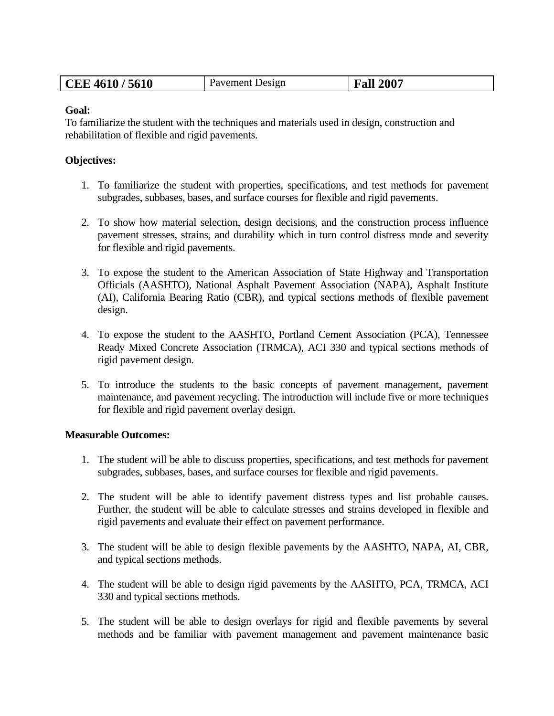| CEE 4610/5610 | Pavement Design | <b>Fall 2007</b> |
|---------------|-----------------|------------------|
|---------------|-----------------|------------------|

## **Goal:**

To familiarize the student with the techniques and materials used in design, construction and rehabilitation of flexible and rigid pavements.

### **Objectives:**

- 1. To familiarize the student with properties, specifications, and test methods for pavement subgrades, subbases, bases, and surface courses for flexible and rigid pavements.
- 2. To show how material selection, design decisions, and the construction process influence pavement stresses, strains, and durability which in turn control distress mode and severity for flexible and rigid pavements.
- 3. To expose the student to the American Association of State Highway and Transportation Officials (AASHTO), National Asphalt Pavement Association (NAPA), Asphalt Institute (AI), California Bearing Ratio (CBR), and typical sections methods of flexible pavement design.
- 4. To expose the student to the AASHTO, Portland Cement Association (PCA), Tennessee Ready Mixed Concrete Association (TRMCA), ACI 330 and typical sections methods of rigid pavement design.
- 5. To introduce the students to the basic concepts of pavement management, pavement maintenance, and pavement recycling. The introduction will include five or more techniques for flexible and rigid pavement overlay design.

#### **Measurable Outcomes:**

- 1. The student will be able to discuss properties, specifications, and test methods for pavement subgrades, subbases, bases, and surface courses for flexible and rigid pavements.
- 2. The student will be able to identify pavement distress types and list probable causes. Further, the student will be able to calculate stresses and strains developed in flexible and rigid pavements and evaluate their effect on pavement performance.
- 3. The student will be able to design flexible pavements by the AASHTO, NAPA, AI, CBR, and typical sections methods.
- 4. The student will be able to design rigid pavements by the AASHTO, PCA, TRMCA, ACI 330 and typical sections methods.
- 5. The student will be able to design overlays for rigid and flexible pavements by several methods and be familiar with pavement management and pavement maintenance basic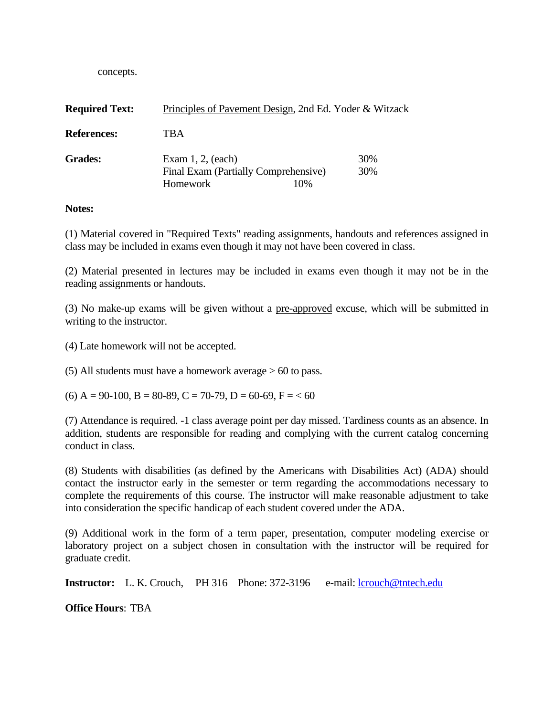concepts.

| <b>Required Text:</b> | Principles of Pavement Design, 2nd Ed. Yoder & Witzack                   |     |            |
|-----------------------|--------------------------------------------------------------------------|-----|------------|
| <b>References:</b>    | TBA                                                                      |     |            |
| <b>Grades:</b>        | Exam $1, 2$ , (each)<br>Final Exam (Partially Comprehensive)<br>Homework | 10% | 30%<br>30% |

### **Notes:**

(1) Material covered in "Required Texts" reading assignments, handouts and references assigned in class may be included in exams even though it may not have been covered in class.

(2) Material presented in lectures may be included in exams even though it may not be in the reading assignments or handouts.

(3) No make-up exams will be given without a pre-approved excuse, which will be submitted in writing to the instructor.

(4) Late homework will not be accepted.

(5) All students must have a homework average > 60 to pass.

 $(6)$  A = 90-100, B = 80-89, C = 70-79, D = 60-69, F = < 60

(7) Attendance is required. -1 class average point per day missed. Tardiness counts as an absence. In addition, students are responsible for reading and complying with the current catalog concerning conduct in class.

(8) Students with disabilities (as defined by the Americans with Disabilities Act) (ADA) should contact the instructor early in the semester or term regarding the accommodations necessary to complete the requirements of this course. The instructor will make reasonable adjustment to take into consideration the specific handicap of each student covered under the ADA.

(9) Additional work in the form of a term paper, presentation, computer modeling exercise or laboratory project on a subject chosen in consultation with the instructor will be required for graduate credit.

**Instructor:** L. K. Crouch, PH 316 Phone: 372-3196 e-mail: lcrouch@tntech.edu

**Office Hours**: TBA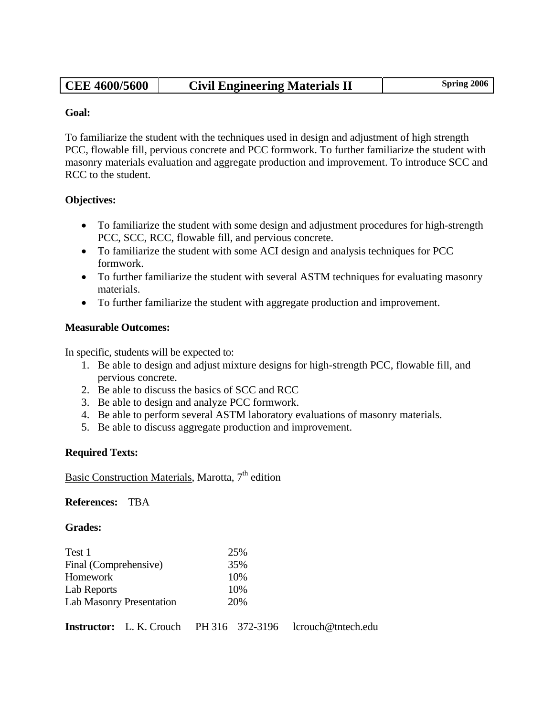| <b>CEE 4600/5600</b> | <b>Civil Engineering Materials II</b> | <b>Spring 2006</b> |
|----------------------|---------------------------------------|--------------------|
|                      |                                       |                    |

## **Goal:**

To familiarize the student with the techniques used in design and adjustment of high strength PCC, flowable fill, pervious concrete and PCC formwork. To further familiarize the student with masonry materials evaluation and aggregate production and improvement. To introduce SCC and RCC to the student.

## **Objectives:**

- To familiarize the student with some design and adjustment procedures for high-strength PCC, SCC, RCC, flowable fill, and pervious concrete.
- To familiarize the student with some ACI design and analysis techniques for PCC formwork.
- To further familiarize the student with several ASTM techniques for evaluating masonry materials.
- To further familiarize the student with aggregate production and improvement.

## **Measurable Outcomes:**

In specific, students will be expected to:

- 1. Be able to design and adjust mixture designs for high-strength PCC, flowable fill, and pervious concrete.
- 2. Be able to discuss the basics of SCC and RCC
- 3. Be able to design and analyze PCC formwork.
- 4. Be able to perform several ASTM laboratory evaluations of masonry materials.
- 5. Be able to discuss aggregate production and improvement.

## **Required Texts:**

Basic Construction Materials, Marotta,  $7<sup>th</sup>$  edition

**References:** TBA

## **Grades:**

| Test 1                          | 25% |
|---------------------------------|-----|
| Final (Comprehensive)           | 35% |
| Homework                        | 10% |
| Lab Reports                     | 10% |
| <b>Lab Masonry Presentation</b> | 20% |

**Instructor:** L. K. Crouch PH 316 372-3196 lcrouch@tntech.edu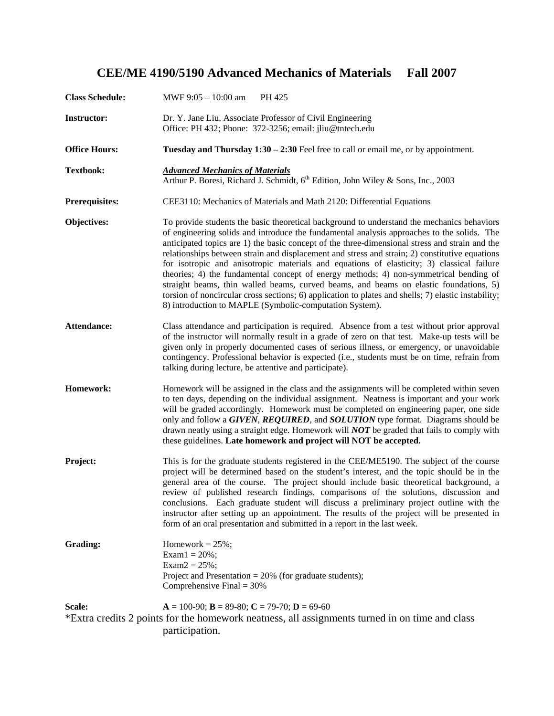# **CEE/ME 4190/5190 Advanced Mechanics of Materials Fall 2007**

| <b>Class Schedule:</b> | MWF $9:05 - 10:00$ am<br>PH 425                                                                                                                                                                                                                                                                                                                                                                                                                                                                                                                                                                                                                                                                                                                                                                                                               |
|------------------------|-----------------------------------------------------------------------------------------------------------------------------------------------------------------------------------------------------------------------------------------------------------------------------------------------------------------------------------------------------------------------------------------------------------------------------------------------------------------------------------------------------------------------------------------------------------------------------------------------------------------------------------------------------------------------------------------------------------------------------------------------------------------------------------------------------------------------------------------------|
| <b>Instructor:</b>     | Dr. Y. Jane Liu, Associate Professor of Civil Engineering<br>Office: PH 432; Phone: 372-3256; email: jliu@tntech.edu                                                                                                                                                                                                                                                                                                                                                                                                                                                                                                                                                                                                                                                                                                                          |
| <b>Office Hours:</b>   | <b>Tuesday and Thursday 1:30 – 2:30</b> Feel free to call or email me, or by appointment.                                                                                                                                                                                                                                                                                                                                                                                                                                                                                                                                                                                                                                                                                                                                                     |
| <b>Textbook:</b>       | <b>Advanced Mechanics of Materials</b><br>Arthur P. Boresi, Richard J. Schmidt, 6 <sup>th</sup> Edition, John Wiley & Sons, Inc., 2003                                                                                                                                                                                                                                                                                                                                                                                                                                                                                                                                                                                                                                                                                                        |
| <b>Prerequisites:</b>  | CEE3110: Mechanics of Materials and Math 2120: Differential Equations                                                                                                                                                                                                                                                                                                                                                                                                                                                                                                                                                                                                                                                                                                                                                                         |
| Objectives:            | To provide students the basic theoretical background to understand the mechanics behaviors<br>of engineering solids and introduce the fundamental analysis approaches to the solids. The<br>anticipated topics are 1) the basic concept of the three-dimensional stress and strain and the<br>relationships between strain and displacement and stress and strain; 2) constitutive equations<br>for isotropic and anisotropic materials and equations of elasticity; 3) classical failure<br>theories; 4) the fundamental concept of energy methods; 4) non-symmetrical bending of<br>straight beams, thin walled beams, curved beams, and beams on elastic foundations, 5)<br>torsion of noncircular cross sections; 6) application to plates and shells; 7) elastic instability;<br>8) introduction to MAPLE (Symbolic-computation System). |
| <b>Attendance:</b>     | Class attendance and participation is required. Absence from a test without prior approval<br>of the instructor will normally result in a grade of zero on that test. Make-up tests will be<br>given only in properly documented cases of serious illness, or emergency, or unavoidable<br>contingency. Professional behavior is expected (i.e., students must be on time, refrain from<br>talking during lecture, be attentive and participate).                                                                                                                                                                                                                                                                                                                                                                                             |
| Homework:              | Homework will be assigned in the class and the assignments will be completed within seven<br>to ten days, depending on the individual assignment. Neatness is important and your work<br>will be graded accordingly. Homework must be completed on engineering paper, one side<br>only and follow a GIVEN, REQUIRED, and SOLUTION type format. Diagrams should be<br>drawn neatly using a straight edge. Homework will <b>NOT</b> be graded that fails to comply with<br>these guidelines. Late homework and project will NOT be accepted.                                                                                                                                                                                                                                                                                                    |
| Project:               | This is for the graduate students registered in the CEE/ME5190. The subject of the course<br>project will be determined based on the student's interest, and the topic should be in the<br>general area of the course. The project should include basic theoretical background, a<br>review of published research findings, comparisons of the solutions, discussion and<br>conclusions. Each graduate student will discuss a preliminary project outline with the<br>instructor after setting up an appointment. The results of the project will be presented in<br>form of an oral presentation and submitted in a report in the last week.                                                                                                                                                                                                 |
| Grading:               | Homework = $25\%$ ;<br>Exam $1 = 20\%$ ;<br>Exam $2 = 25\%$ ;<br>Project and Presentation = $20\%$ (for graduate students);<br>Comprehensive Final $=$ 30%                                                                                                                                                                                                                                                                                                                                                                                                                                                                                                                                                                                                                                                                                    |
| Scale:                 | $A = 100-90$ ; $B = 89-80$ ; $C = 79-70$ ; $D = 69-60$<br>*Extra credits 2 points for the homework neatness, all assignments turned in on time and class<br>participation.                                                                                                                                                                                                                                                                                                                                                                                                                                                                                                                                                                                                                                                                    |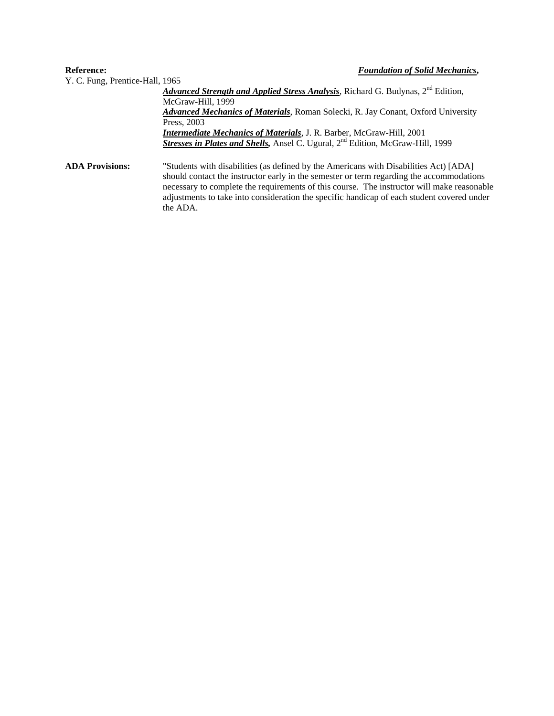#### **Reference:** *Foundation of Solid Mechanics***,**  Y. C. Fung, Prentice-Hall, 1965 Advanced Strength and Applied Stress Analysis, Richard G. Budynas, 2<sup>nd</sup> Edition, McGraw-Hill, 1999 *Advanced Mechanics of Materials*, Roman Solecki, R. Jay Conant, Oxford University Press, 2003 *Intermediate Mechanics of Materials*, J. R. Barber, McGraw-Hill, 2001 *Stresses in Plates and Shells, Ansel C. Ugural, 2<sup>nd</sup> Edition, McGraw-Hill, 1999* **ADA Provisions:** "Students with disabilities (as defined by the Americans with Disabilities Act) [ADA] should contact the instructor early in the semester or term regarding the accommodations necessary to complete the requirements of this course. The instructor will make reasonable adjustments to take into consideration the specific handicap of each student covered under

the ADA.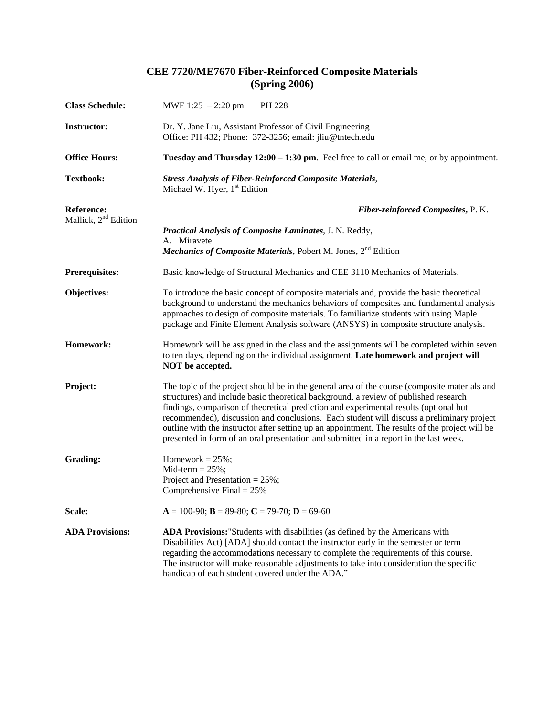## **CEE 7720/ME7670 Fiber-Reinforced Composite Materials (Spring 2006)**

| <b>Class Schedule:</b>                                | MWF 1:25 $-2:20$ pm<br>PH 228                                                                                                                                                                                                                                                                                                                                                                                                                                                                                                                                           |  |  |  |
|-------------------------------------------------------|-------------------------------------------------------------------------------------------------------------------------------------------------------------------------------------------------------------------------------------------------------------------------------------------------------------------------------------------------------------------------------------------------------------------------------------------------------------------------------------------------------------------------------------------------------------------------|--|--|--|
| <b>Instructor:</b>                                    | Dr. Y. Jane Liu, Assistant Professor of Civil Engineering<br>Office: PH 432; Phone: 372-3256; email: jliu@tntech.edu                                                                                                                                                                                                                                                                                                                                                                                                                                                    |  |  |  |
| <b>Office Hours:</b>                                  | Tuesday and Thursday 12:00 – 1:30 pm. Feel free to call or email me, or by appointment.                                                                                                                                                                                                                                                                                                                                                                                                                                                                                 |  |  |  |
| <b>Textbook:</b>                                      | <b>Stress Analysis of Fiber-Reinforced Composite Materials,</b><br>Michael W. Hyer, 1 <sup>st</sup> Edition                                                                                                                                                                                                                                                                                                                                                                                                                                                             |  |  |  |
| <b>Reference:</b><br>Mallick, 2 <sup>nd</sup> Edition | Fiber-reinforced Composites, P. K.                                                                                                                                                                                                                                                                                                                                                                                                                                                                                                                                      |  |  |  |
|                                                       | Practical Analysis of Composite Laminates, J. N. Reddy,                                                                                                                                                                                                                                                                                                                                                                                                                                                                                                                 |  |  |  |
|                                                       | A. Miravete<br><b>Mechanics of Composite Materials</b> , Pobert M. Jones, $2nd$ Edition                                                                                                                                                                                                                                                                                                                                                                                                                                                                                 |  |  |  |
| <b>Prerequisites:</b>                                 | Basic knowledge of Structural Mechanics and CEE 3110 Mechanics of Materials.                                                                                                                                                                                                                                                                                                                                                                                                                                                                                            |  |  |  |
| Objectives:                                           | To introduce the basic concept of composite materials and, provide the basic theoretical<br>background to understand the mechanics behaviors of composites and fundamental analysis<br>approaches to design of composite materials. To familiarize students with using Maple<br>package and Finite Element Analysis software (ANSYS) in composite structure analysis.                                                                                                                                                                                                   |  |  |  |
| Homework:                                             | Homework will be assigned in the class and the assignments will be completed within seven<br>to ten days, depending on the individual assignment. Late homework and project will<br>NOT be accepted.                                                                                                                                                                                                                                                                                                                                                                    |  |  |  |
| Project:                                              | The topic of the project should be in the general area of the course (composite materials and<br>structures) and include basic theoretical background, a review of published research<br>findings, comparison of theoretical prediction and experimental results (optional but<br>recommended), discussion and conclusions. Each student will discuss a preliminary project<br>outline with the instructor after setting up an appointment. The results of the project will be<br>presented in form of an oral presentation and submitted in a report in the last week. |  |  |  |
| Grading:                                              | Homework = $25\%$ ;<br>Mid-term $= 25\%$ ;<br>Project and Presentation = $25\%$ ;<br>Comprehensive Final = $25\%$                                                                                                                                                                                                                                                                                                                                                                                                                                                       |  |  |  |
| Scale:                                                | $A = 100-90$ ; $B = 89-80$ ; $C = 79-70$ ; $D = 69-60$                                                                                                                                                                                                                                                                                                                                                                                                                                                                                                                  |  |  |  |
| <b>ADA Provisions:</b>                                | ADA Provisions: "Students with disabilities (as defined by the Americans with<br>Disabilities Act) [ADA] should contact the instructor early in the semester or term<br>regarding the accommodations necessary to complete the requirements of this course.<br>The instructor will make reasonable adjustments to take into consideration the specific<br>handicap of each student covered under the ADA."                                                                                                                                                              |  |  |  |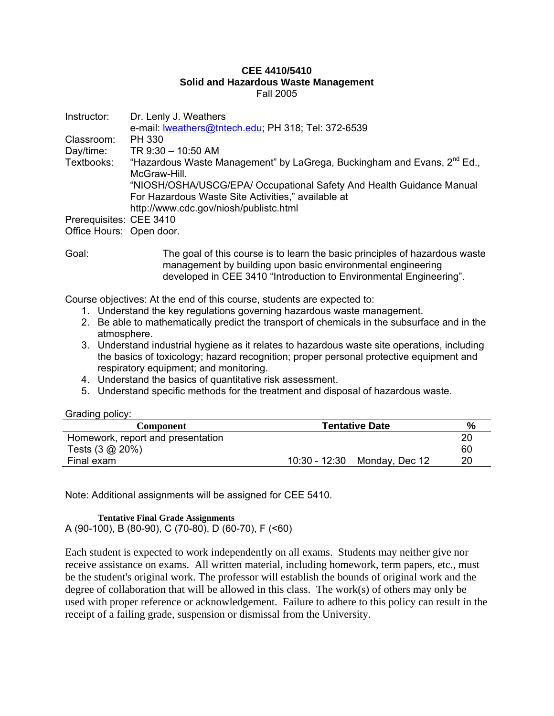#### **CEE 4410/5410 Solid and Hazardous Waste Management**  Fall 2005

| Instructor:              | Dr. Lenly J. Weathers                                                               |
|--------------------------|-------------------------------------------------------------------------------------|
|                          | e-mail: <b>Iweathers@tntech.edu</b> ; PH 318; Tel: 372-6539                         |
| Classroom:               | PH 330                                                                              |
| Day/time:                | TR 9:30 - 10:50 AM                                                                  |
| Textbooks:               | "Hazardous Waste Management" by LaGrega, Buckingham and Evans, 2 <sup>nd</sup> Ed., |
|                          | McGraw-Hill.                                                                        |
|                          | "NIOSH/OSHA/USCG/EPA/ Occupational Safety And Health Guidance Manual                |
|                          | For Hazardous Waste Site Activities," available at                                  |
|                          | http://www.cdc.gov/niosh/publistc.html                                              |
| Prerequisites: CEE 3410  |                                                                                     |
| Office Hours: Open door. |                                                                                     |

Goal: The goal of this course is to learn the basic principles of hazardous waste management by building upon basic environmental engineering developed in CEE 3410 "Introduction to Environmental Engineering".

Course objectives: At the end of this course, students are expected to:

- 1. Understand the key regulations governing hazardous waste management.
- 2. Be able to mathematically predict the transport of chemicals in the subsurface and in the atmosphere.
- 3. Understand industrial hygiene as it relates to hazardous waste site operations, including the basics of toxicology; hazard recognition; proper personal protective equipment and respiratory equipment; and monitoring.
- 4. Understand the basics of quantitative risk assessment.
- 5. Understand specific methods for the treatment and disposal of hazardous waste.

Grading policy:

| <b>Component</b>                  | <b>Tentative Date</b> |                              | %  |
|-----------------------------------|-----------------------|------------------------------|----|
| Homework, report and presentation |                       |                              | 20 |
| Tests (3 @ 20%)                   |                       |                              | 60 |
| Final exam                        |                       | 10:30 - 12:30 Monday, Dec 12 | 20 |

Note: Additional assignments will be assigned for CEE 5410.

#### **Tentative Final Grade Assignments**

A (90-100), B (80-90), C (70-80), D (60-70), F (<60)

Each student is expected to work independently on all exams. Students may neither give nor receive assistance on exams. All written material, including homework, term papers, etc., must be the student's original work. The professor will establish the bounds of original work and the degree of collaboration that will be allowed in this class. The work(s) of others may only be used with proper reference or acknowledgement. Failure to adhere to this policy can result in the receipt of a failing grade, suspension or dismissal from the University.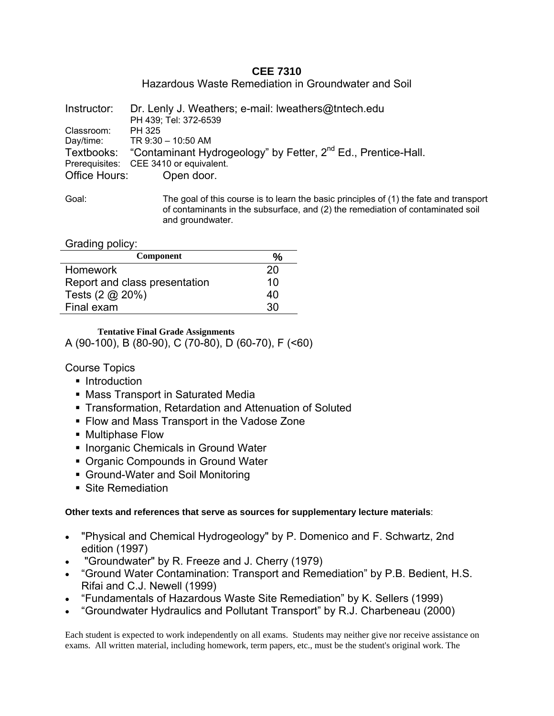## **CEE 7310**

Hazardous Waste Remediation in Groundwater and Soil

| Instructor:   | Dr. Lenly J. Weathers; e-mail: Iweathers@thtech.edu                                  |
|---------------|--------------------------------------------------------------------------------------|
|               | PH 439; Tel: 372-6539                                                                |
| Classroom:    | PH 325                                                                               |
|               | Day/time: TR 9:30 - 10:50 AM                                                         |
|               | Textbooks: "Contaminant Hydrogeology" by Fetter, 2 <sup>nd</sup> Ed., Prentice-Hall. |
|               | Prerequisites: CEE 3410 or equivalent.                                               |
| Office Hours: | Open door.                                                                           |
|               |                                                                                      |

Goal: The goal of this course is to learn the basic principles of (1) the fate and transport of contaminants in the subsurface, and (2) the remediation of contaminated soil and groundwater.

Grading policy:

| <b>Component</b>              | $\%$ |
|-------------------------------|------|
| <b>Homework</b>               | 20   |
| Report and class presentation | 10   |
| Tests $(2 \text{ @ } 20\%)$   | 40   |
| Final exam                    | 30   |

**Tentative Final Grade Assignments**  A (90-100), B (80-90), C (70-80), D (60-70), F (<60)

Course Topics

- Introduction
- **Mass Transport in Saturated Media**
- Transformation, Retardation and Attenuation of Soluted
- **Flow and Mass Transport in the Vadose Zone**
- Multiphase Flow
- **Inorganic Chemicals in Ground Water**
- Organic Compounds in Ground Water
- Ground-Water and Soil Monitoring
- Site Remediation

## **Other texts and references that serve as sources for supplementary lecture materials**:

- "Physical and Chemical Hydrogeology" by P. Domenico and F. Schwartz, 2nd edition (1997)
- "Groundwater" by R. Freeze and J. Cherry (1979)
- "Ground Water Contamination: Transport and Remediation" by P.B. Bedient, H.S. Rifai and C.J. Newell (1999)
- "Fundamentals of Hazardous Waste Site Remediation" by K. Sellers (1999)
- "Groundwater Hydraulics and Pollutant Transport" by R.J. Charbeneau (2000)

Each student is expected to work independently on all exams. Students may neither give nor receive assistance on exams. All written material, including homework, term papers, etc., must be the student's original work. The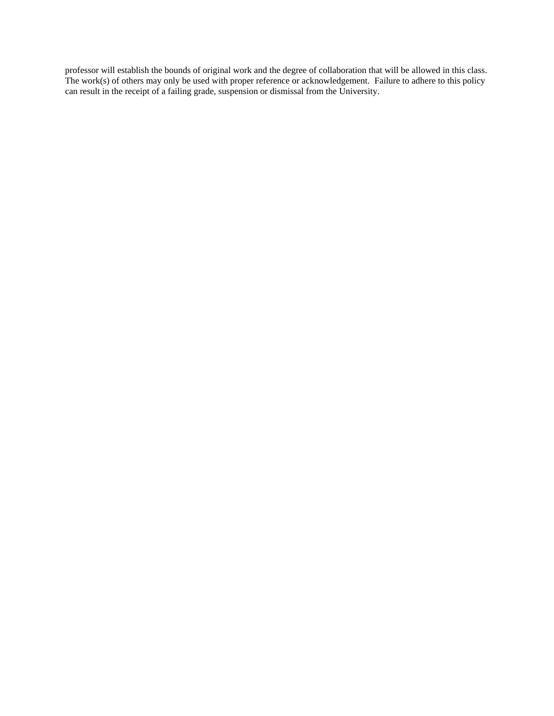professor will establish the bounds of original work and the degree of collaboration that will be allowed in this class. The work(s) of others may only be used with proper reference or acknowledgement. Failure to adhere to this policy can result in the receipt of a failing grade, suspension or dismissal from the University.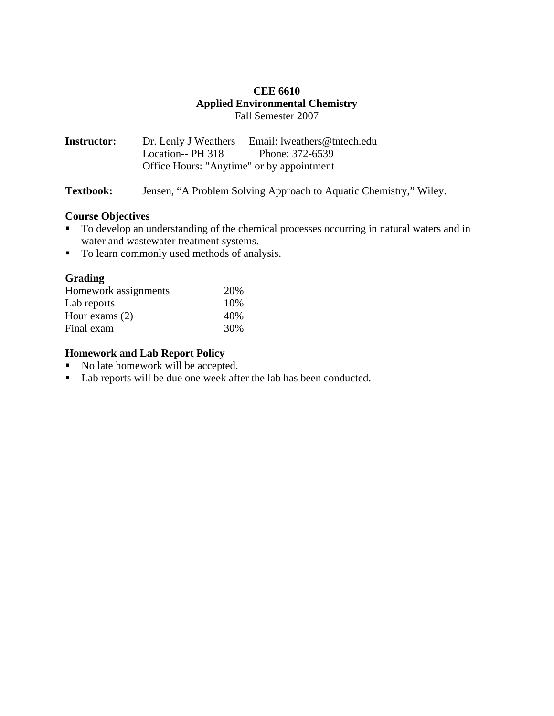## **CEE 6610 Applied Environmental Chemistry**  Fall Semester 2007

**Instructor:** Dr. Lenly J Weathers Email: lweathers@tntech.edu Location-- PH 318 Phone: 372-6539 Office Hours: "Anytime" or by appointment

**Textbook:** Jensen, "A Problem Solving Approach to Aquatic Chemistry," Wiley.

## **Course Objectives**

- To develop an understanding of the chemical processes occurring in natural waters and in water and wastewater treatment systems.
- To learn commonly used methods of analysis.

## **Grading**

| Homework assignments | 20% |
|----------------------|-----|
| Lab reports          | 10% |
| Hour exams $(2)$     | 40% |
| Final exam           | 30% |

## **Homework and Lab Report Policy**

- No late homework will be accepted.
- Lab reports will be due one week after the lab has been conducted.